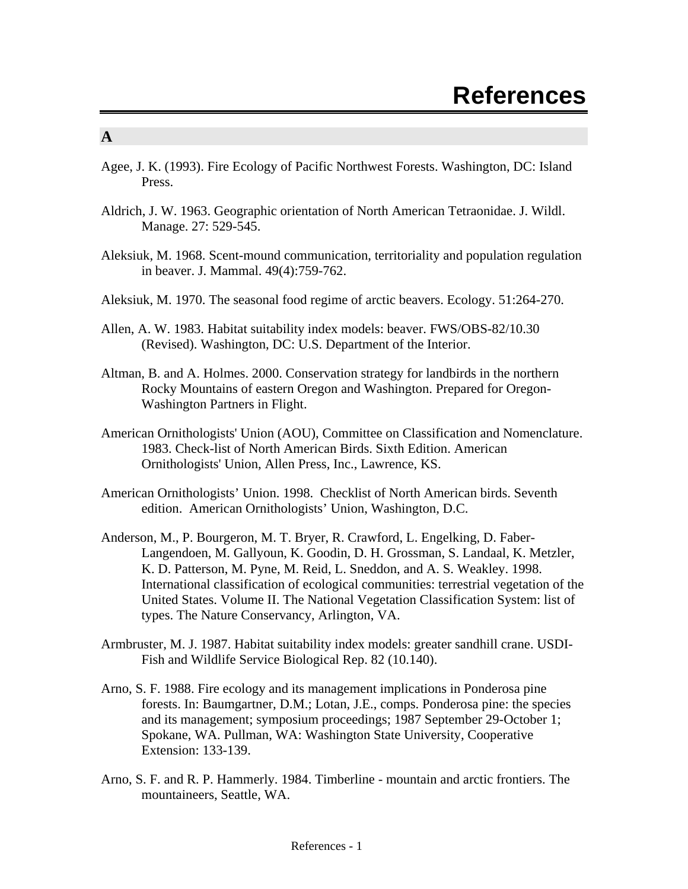#### **A**

- Agee, J. K. (1993). Fire Ecology of Pacific Northwest Forests. Washington, DC: Island Press.
- Aldrich, J. W. 1963. Geographic orientation of North American Tetraonidae. J. Wildl. Manage. 27: 529-545.
- Aleksiuk, M. 1968. Scent-mound communication, territoriality and population regulation in beaver. J. Mammal. 49(4):759-762.
- Aleksiuk, M. 1970. The seasonal food regime of arctic beavers. Ecology. 51:264-270.
- Allen, A. W. 1983. Habitat suitability index models: beaver. FWS/OBS-82/10.30 (Revised). Washington, DC: U.S. Department of the Interior.
- Altman, B. and A. Holmes. 2000. Conservation strategy for landbirds in the northern Rocky Mountains of eastern Oregon and Washington. Prepared for Oregon-Washington Partners in Flight.
- American Ornithologists' Union (AOU), Committee on Classification and Nomenclature. 1983. Check-list of North American Birds. Sixth Edition. American Ornithologists' Union, Allen Press, Inc., Lawrence, KS.
- American Ornithologists' Union. 1998. Checklist of North American birds. Seventh edition. American Ornithologists' Union, Washington, D.C.
- Anderson, M., P. Bourgeron, M. T. Bryer, R. Crawford, L. Engelking, D. Faber-Langendoen, M. Gallyoun, K. Goodin, D. H. Grossman, S. Landaal, K. Metzler, K. D. Patterson, M. Pyne, M. Reid, L. Sneddon, and A. S. Weakley. 1998. International classification of ecological communities: terrestrial vegetation of the United States. Volume II. The National Vegetation Classification System: list of types. The Nature Conservancy, Arlington, VA.
- Armbruster, M. J. 1987. Habitat suitability index models: greater sandhill crane. USDI-Fish and Wildlife Service Biological Rep. 82 (10.140).
- Arno, S. F. 1988. Fire ecology and its management implications in Ponderosa pine forests. In: Baumgartner, D.M.; Lotan, J.E., comps. Ponderosa pine: the species and its management; symposium proceedings; 1987 September 29-October 1; Spokane, WA. Pullman, WA: Washington State University, Cooperative Extension: 133-139.
- Arno, S. F. and R. P. Hammerly. 1984. Timberline mountain and arctic frontiers. The mountaineers, Seattle, WA.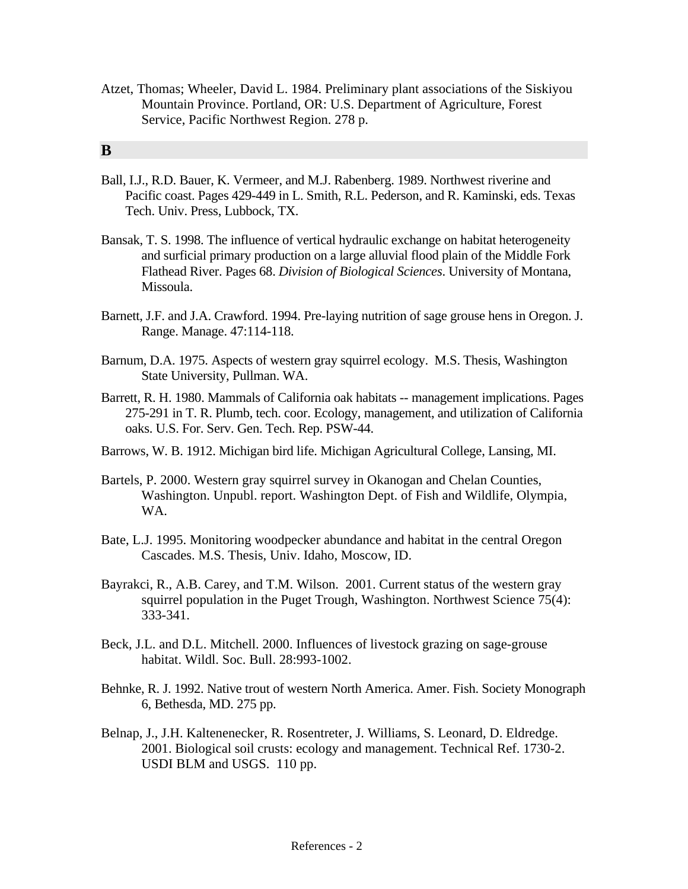Atzet, Thomas; Wheeler, David L. 1984. Preliminary plant associations of the Siskiyou Mountain Province. Portland, OR: U.S. Department of Agriculture, Forest Service, Pacific Northwest Region. 278 p.

#### **B**

- Ball, I.J., R.D. Bauer, K. Vermeer, and M.J. Rabenberg. 1989. Northwest riverine and Pacific coast. Pages 429-449 in L. Smith, R.L. Pederson, and R. Kaminski, eds. Texas Tech. Univ. Press, Lubbock, TX.
- Bansak, T. S. 1998. The influence of vertical hydraulic exchange on habitat heterogeneity and surficial primary production on a large alluvial flood plain of the Middle Fork Flathead River. Pages 68. *Division of Biological Sciences*. University of Montana, Missoula.
- Barnett, J.F. and J.A. Crawford. 1994. Pre-laying nutrition of sage grouse hens in Oregon. J. Range. Manage. 47:114-118.
- Barnum, D.A. 1975. Aspects of western gray squirrel ecology. M.S. Thesis, Washington State University, Pullman. WA.
- Barrett, R. H. 1980. Mammals of California oak habitats -- management implications. Pages 275-291 in T. R. Plumb, tech. coor. Ecology, management, and utilization of California oaks. U.S. For. Serv. Gen. Tech. Rep. PSW-44.
- Barrows, W. B. 1912. Michigan bird life. Michigan Agricultural College, Lansing, MI.
- Bartels, P. 2000. Western gray squirrel survey in Okanogan and Chelan Counties, Washington. Unpubl. report. Washington Dept. of Fish and Wildlife, Olympia, WA.
- Bate, L.J. 1995. Monitoring woodpecker abundance and habitat in the central Oregon Cascades. M.S. Thesis, Univ. Idaho, Moscow, ID.
- Bayrakci, R., A.B. Carey, and T.M. Wilson. 2001. Current status of the western gray squirrel population in the Puget Trough, Washington. Northwest Science 75(4): 333-341.
- Beck, J.L. and D.L. Mitchell. 2000. Influences of livestock grazing on sage-grouse habitat. Wildl. Soc. Bull. 28:993-1002.
- Behnke, R. J. 1992. Native trout of western North America. Amer. Fish. Society Monograph 6, Bethesda, MD. 275 pp.
- Belnap, J., J.H. Kaltenenecker, R. Rosentreter, J. Williams, S. Leonard, D. Eldredge. 2001. Biological soil crusts: ecology and management. Technical Ref. 1730-2. USDI BLM and USGS. 110 pp.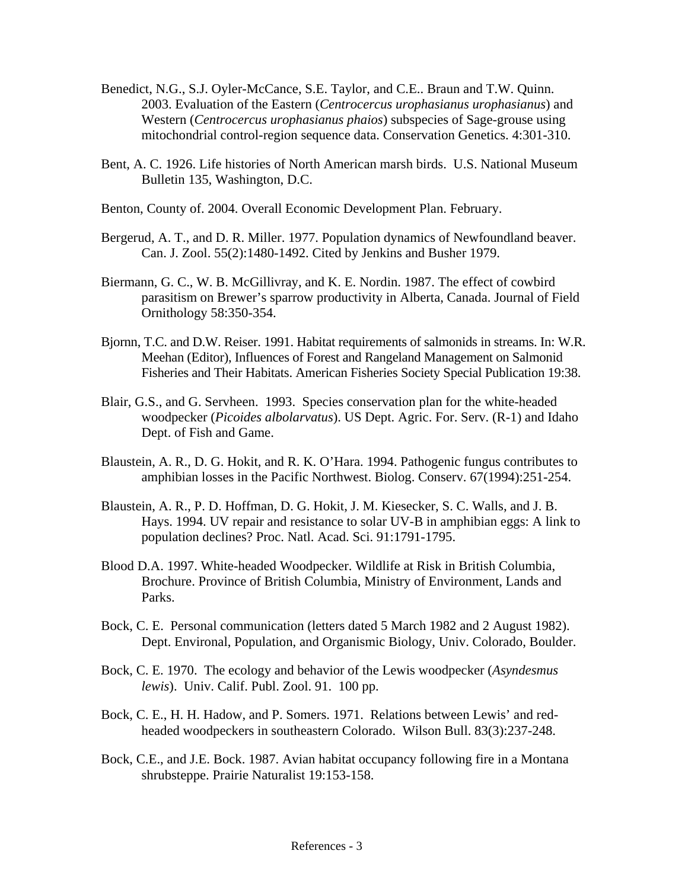- Benedict, N.G., S.J. Oyler-McCance, S.E. Taylor, and C.E.. Braun and T.W. Quinn. 2003. Evaluation of the Eastern (*Centrocercus urophasianus urophasianus*) and Western (*Centrocercus urophasianus phaios*) subspecies of Sage-grouse using mitochondrial control-region sequence data. Conservation Genetics. 4:301-310.
- Bent, A. C. 1926. Life histories of North American marsh birds. U.S. National Museum Bulletin 135, Washington, D.C.
- Benton, County of. 2004. Overall Economic Development Plan. February.
- Bergerud, A. T., and D. R. Miller. 1977. Population dynamics of Newfoundland beaver. Can. J. Zool. 55(2):1480-1492. Cited by Jenkins and Busher 1979.
- Biermann, G. C., W. B. McGillivray, and K. E. Nordin. 1987. The effect of cowbird parasitism on Brewer's sparrow productivity in Alberta, Canada. Journal of Field Ornithology 58:350-354.
- Bjornn, T.C. and D.W. Reiser. 1991. Habitat requirements of salmonids in streams. In: W.R. Meehan (Editor), Influences of Forest and Rangeland Management on Salmonid Fisheries and Their Habitats. American Fisheries Society Special Publication 19:38.
- Blair, G.S., and G. Servheen. 1993. Species conservation plan for the white-headed woodpecker (*Picoides albolarvatus*). US Dept. Agric. For. Serv. (R-1) and Idaho Dept. of Fish and Game.
- Blaustein, A. R., D. G. Hokit, and R. K. O'Hara. 1994. Pathogenic fungus contributes to amphibian losses in the Pacific Northwest. Biolog. Conserv. 67(1994):251-254.
- Blaustein, A. R., P. D. Hoffman, D. G. Hokit, J. M. Kiesecker, S. C. Walls, and J. B. Hays. 1994. UV repair and resistance to solar UV-B in amphibian eggs: A link to population declines? Proc. Natl. Acad. Sci. 91:1791-1795.
- Blood D.A. 1997. White-headed Woodpecker. Wildlife at Risk in British Columbia, Brochure. Province of British Columbia, Ministry of Environment, Lands and Parks.
- Bock, C. E. Personal communication (letters dated 5 March 1982 and 2 August 1982). Dept. Environal, Population, and Organismic Biology, Univ. Colorado, Boulder.
- Bock, C. E. 1970. The ecology and behavior of the Lewis woodpecker (*Asyndesmus lewis*). Univ. Calif. Publ. Zool. 91. 100 pp.
- Bock, C. E., H. H. Hadow, and P. Somers. 1971. Relations between Lewis' and redheaded woodpeckers in southeastern Colorado. Wilson Bull. 83(3):237-248.
- Bock, C.E., and J.E. Bock. 1987. Avian habitat occupancy following fire in a Montana shrubsteppe. Prairie Naturalist 19:153-158.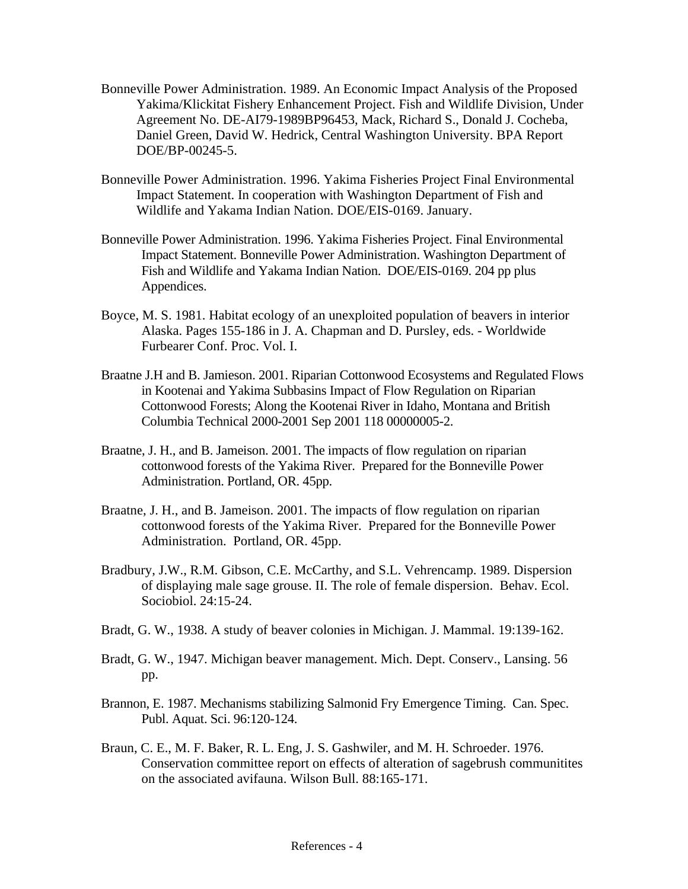- Bonneville Power Administration. 1989. An Economic Impact Analysis of the Proposed Yakima/Klickitat Fishery Enhancement Project. Fish and Wildlife Division, Under Agreement No. DE-AI79-1989BP96453, Mack, Richard S., Donald J. Cocheba, Daniel Green, David W. Hedrick, Central Washington University. BPA Report DOE/BP-00245-5.
- Bonneville Power Administration. 1996. Yakima Fisheries Project Final Environmental Impact Statement. In cooperation with Washington Department of Fish and Wildlife and Yakama Indian Nation. DOE/EIS-0169. January.
- Bonneville Power Administration. 1996. Yakima Fisheries Project. Final Environmental Impact Statement. Bonneville Power Administration. Washington Department of Fish and Wildlife and Yakama Indian Nation. DOE/EIS-0169. 204 pp plus Appendices.
- Boyce, M. S. 1981. Habitat ecology of an unexploited population of beavers in interior Alaska. Pages 155-186 in J. A. Chapman and D. Pursley, eds. - Worldwide Furbearer Conf. Proc. Vol. I.
- Braatne J.H and B. Jamieson. 2001. Riparian Cottonwood Ecosystems and Regulated Flows in Kootenai and Yakima Subbasins Impact of Flow Regulation on Riparian Cottonwood Forests; Along the Kootenai River in Idaho, Montana and British Columbia Technical 2000-2001 Sep 2001 118 00000005-2.
- Braatne, J. H., and B. Jameison. 2001. The impacts of flow regulation on riparian cottonwood forests of the Yakima River. Prepared for the Bonneville Power Administration. Portland, OR. 45pp.
- Braatne, J. H., and B. Jameison. 2001. The impacts of flow regulation on riparian cottonwood forests of the Yakima River. Prepared for the Bonneville Power Administration. Portland, OR. 45pp.
- Bradbury, J.W., R.M. Gibson, C.E. McCarthy, and S.L. Vehrencamp. 1989. Dispersion of displaying male sage grouse. II. The role of female dispersion. Behav. Ecol. Sociobiol. 24:15-24.
- Bradt, G. W., 1938. A study of beaver colonies in Michigan. J. Mammal. 19:139-162.
- Bradt, G. W., 1947. Michigan beaver management. Mich. Dept. Conserv., Lansing. 56 pp.
- Brannon, E. 1987. Mechanisms stabilizing Salmonid Fry Emergence Timing. Can. Spec. Publ. Aquat. Sci. 96:120-124.
- Braun, C. E., M. F. Baker, R. L. Eng, J. S. Gashwiler, and M. H. Schroeder. 1976. Conservation committee report on effects of alteration of sagebrush communitites on the associated avifauna. Wilson Bull. 88:165-171.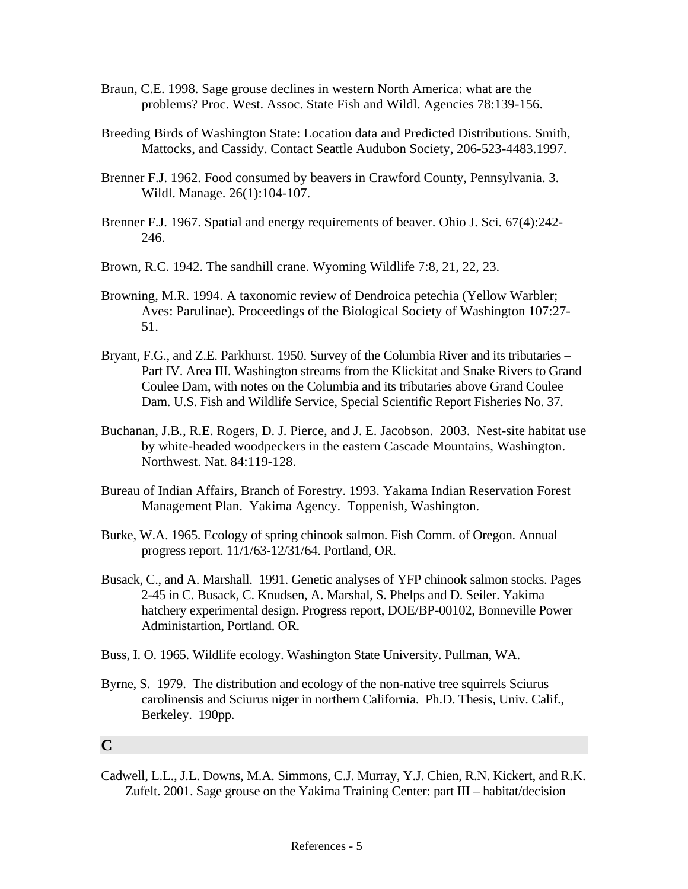- Braun, C.E. 1998. Sage grouse declines in western North America: what are the problems? Proc. West. Assoc. State Fish and Wildl. Agencies 78:139-156.
- Breeding Birds of Washington State: Location data and Predicted Distributions. Smith, Mattocks, and Cassidy. Contact Seattle Audubon Society, 206-523-4483.1997.
- Brenner F.J. 1962. Food consumed by beavers in Crawford County, Pennsylvania. 3. Wildl. Manage. 26(1):104-107.
- Brenner F.J. 1967. Spatial and energy requirements of beaver. Ohio J. Sci. 67(4):242- 246.
- Brown, R.C. 1942. The sandhill crane. Wyoming Wildlife 7:8, 21, 22, 23.
- Browning, M.R. 1994. A taxonomic review of Dendroica petechia (Yellow Warbler; Aves: Parulinae). Proceedings of the Biological Society of Washington 107:27- 51.
- Bryant, F.G., and Z.E. Parkhurst. 1950. Survey of the Columbia River and its tributaries Part IV. Area III. Washington streams from the Klickitat and Snake Rivers to Grand Coulee Dam, with notes on the Columbia and its tributaries above Grand Coulee Dam. U.S. Fish and Wildlife Service, Special Scientific Report Fisheries No. 37.
- Buchanan, J.B., R.E. Rogers, D. J. Pierce, and J. E. Jacobson. 2003. Nest-site habitat use by white-headed woodpeckers in the eastern Cascade Mountains, Washington. Northwest. Nat. 84:119-128.
- Bureau of Indian Affairs, Branch of Forestry. 1993. Yakama Indian Reservation Forest Management Plan. Yakima Agency. Toppenish, Washington.
- Burke, W.A. 1965. Ecology of spring chinook salmon. Fish Comm. of Oregon. Annual progress report. 11/1/63-12/31/64. Portland, OR.
- Busack, C., and A. Marshall. 1991. Genetic analyses of YFP chinook salmon stocks. Pages 2-45 in C. Busack, C. Knudsen, A. Marshal, S. Phelps and D. Seiler. Yakima hatchery experimental design. Progress report, DOE/BP-00102, Bonneville Power Administartion, Portland. OR.
- Buss, I. O. 1965. Wildlife ecology. Washington State University. Pullman, WA.
- Byrne, S. 1979. The distribution and ecology of the non-native tree squirrels Sciurus carolinensis and Sciurus niger in northern California. Ph.D. Thesis, Univ. Calif., Berkeley. 190pp.

## **C**

Cadwell, L.L., J.L. Downs, M.A. Simmons, C.J. Murray, Y.J. Chien, R.N. Kickert, and R.K. Zufelt. 2001. Sage grouse on the Yakima Training Center: part III – habitat/decision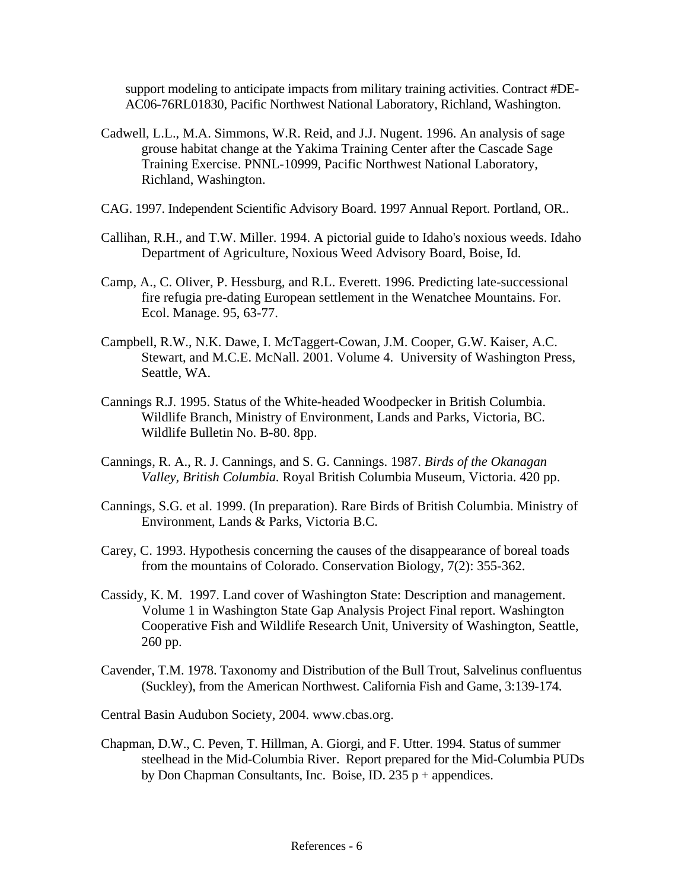support modeling to anticipate impacts from military training activities. Contract #DE-AC06-76RL01830, Pacific Northwest National Laboratory, Richland, Washington.

- Cadwell, L.L., M.A. Simmons, W.R. Reid, and J.J. Nugent. 1996. An analysis of sage grouse habitat change at the Yakima Training Center after the Cascade Sage Training Exercise. PNNL-10999, Pacific Northwest National Laboratory, Richland, Washington.
- CAG. 1997. Independent Scientific Advisory Board. 1997 Annual Report. Portland, OR..
- Callihan, R.H., and T.W. Miller. 1994. A pictorial guide to Idaho's noxious weeds. Idaho Department of Agriculture, Noxious Weed Advisory Board, Boise, Id.
- Camp, A., C. Oliver, P. Hessburg, and R.L. Everett. 1996. Predicting late-successional fire refugia pre-dating European settlement in the Wenatchee Mountains. For. Ecol. Manage. 95, 63-77.
- Campbell, R.W., N.K. Dawe, I. McTaggert-Cowan, J.M. Cooper, G.W. Kaiser, A.C. Stewart, and M.C.E. McNall. 2001. Volume 4. University of Washington Press, Seattle, WA.
- Cannings R.J. 1995. Status of the White-headed Woodpecker in British Columbia. Wildlife Branch, Ministry of Environment, Lands and Parks, Victoria, BC. Wildlife Bulletin No. B-80. 8pp.
- Cannings, R. A., R. J. Cannings, and S. G. Cannings. 1987. *Birds of the Okanagan Valley, British Columbia.* Royal British Columbia Museum, Victoria. 420 pp.
- Cannings, S.G. et al. 1999. (In preparation). Rare Birds of British Columbia. Ministry of Environment, Lands & Parks, Victoria B.C.
- Carey, C. 1993. Hypothesis concerning the causes of the disappearance of boreal toads from the mountains of Colorado. Conservation Biology, 7(2): 355-362.
- Cassidy, K. M. 1997. Land cover of Washington State: Description and management. Volume 1 in Washington State Gap Analysis Project Final report. Washington Cooperative Fish and Wildlife Research Unit, University of Washington, Seattle, 260 pp.
- Cavender, T.M. 1978. Taxonomy and Distribution of the Bull Trout, Salvelinus confluentus (Suckley), from the American Northwest. California Fish and Game, 3:139-174.
- Central Basin Audubon Society, 2004. www.cbas.org.
- Chapman, D.W., C. Peven, T. Hillman, A. Giorgi, and F. Utter. 1994. Status of summer steelhead in the Mid-Columbia River. Report prepared for the Mid-Columbia PUDs by Don Chapman Consultants, Inc. Boise, ID.  $235 p +$  appendices.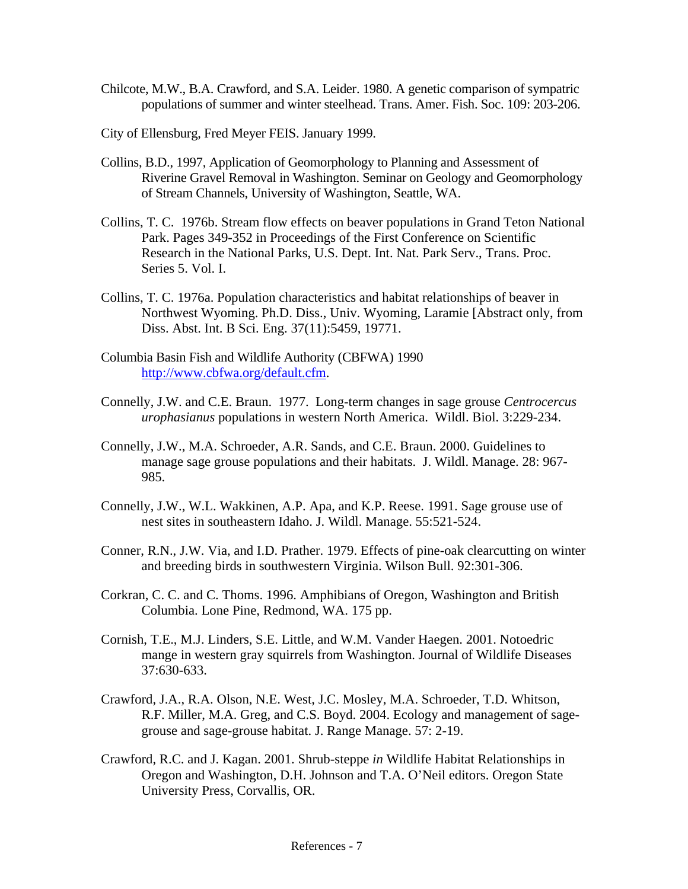- Chilcote, M.W., B.A. Crawford, and S.A. Leider. 1980. A genetic comparison of sympatric populations of summer and winter steelhead. Trans. Amer. Fish. Soc. 109: 203-206.
- City of Ellensburg, Fred Meyer FEIS. January 1999.
- Collins, B.D., 1997, Application of Geomorphology to Planning and Assessment of Riverine Gravel Removal in Washington. Seminar on Geology and Geomorphology of Stream Channels, University of Washington, Seattle, WA.
- Collins, T. C. 1976b. Stream flow effects on beaver populations in Grand Teton National Park. Pages 349-352 in Proceedings of the First Conference on Scientific Research in the National Parks, U.S. Dept. Int. Nat. Park Serv., Trans. Proc. Series 5. Vol. I.
- Collins, T. C. 1976a. Population characteristics and habitat relationships of beaver in Northwest Wyoming. Ph.D. Diss., Univ. Wyoming, Laramie [Abstract only, from Diss. Abst. Int. B Sci. Eng. 37(11):5459, 19771.
- Columbia Basin Fish and Wildlife Authority (CBFWA) 1990 <http://www.cbfwa.org/default.cfm>.
- Connelly, J.W. and C.E. Braun. 1977. Long-term changes in sage grouse *Centrocercus urophasianus* populations in western North America. Wildl. Biol. 3:229-234.
- Connelly, J.W., M.A. Schroeder, A.R. Sands, and C.E. Braun. 2000. Guidelines to manage sage grouse populations and their habitats. J. Wildl. Manage. 28: 967- 985.
- Connelly, J.W., W.L. Wakkinen, A.P. Apa, and K.P. Reese. 1991. Sage grouse use of nest sites in southeastern Idaho. J. Wildl. Manage. 55:521-524.
- Conner, R.N., J.W. Via, and I.D. Prather. 1979. Effects of pine-oak clearcutting on winter and breeding birds in southwestern Virginia. Wilson Bull. 92:301-306.
- Corkran, C. C. and C. Thoms. 1996. Amphibians of Oregon, Washington and British Columbia. Lone Pine, Redmond, WA. 175 pp.
- Cornish, T.E., M.J. Linders, S.E. Little, and W.M. Vander Haegen. 2001. Notoedric mange in western gray squirrels from Washington. Journal of Wildlife Diseases 37:630-633.
- Crawford, J.A., R.A. Olson, N.E. West, J.C. Mosley, M.A. Schroeder, T.D. Whitson, R.F. Miller, M.A. Greg, and C.S. Boyd. 2004. Ecology and management of sagegrouse and sage-grouse habitat. J. Range Manage. 57: 2-19.
- Crawford, R.C. and J. Kagan. 2001. Shrub-steppe *in* Wildlife Habitat Relationships in Oregon and Washington, D.H. Johnson and T.A. O'Neil editors. Oregon State University Press, Corvallis, OR.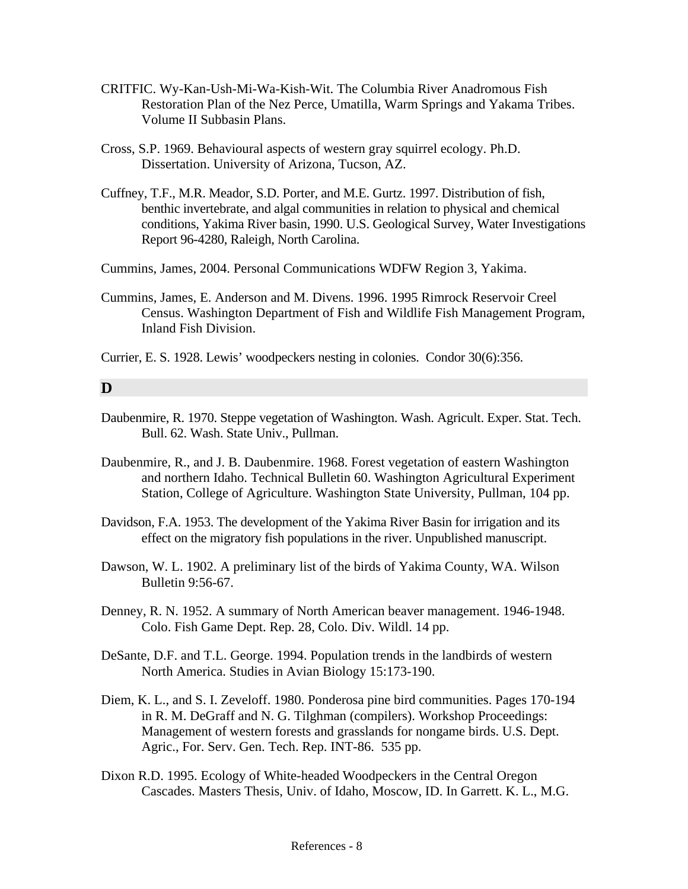- CRITFIC. Wy-Kan-Ush-Mi-Wa-Kish-Wit. The Columbia River Anadromous Fish Restoration Plan of the Nez Perce, Umatilla, Warm Springs and Yakama Tribes. Volume II Subbasin Plans.
- Cross, S.P. 1969. Behavioural aspects of western gray squirrel ecology. Ph.D. Dissertation. University of Arizona, Tucson, AZ.
- Cuffney, T.F., M.R. Meador, S.D. Porter, and M.E. Gurtz. 1997. Distribution of fish, benthic invertebrate, and algal communities in relation to physical and chemical conditions, Yakima River basin, 1990. U.S. Geological Survey, Water Investigations Report 96-4280, Raleigh, North Carolina.
- Cummins, James, 2004. Personal Communications WDFW Region 3, Yakima.
- Cummins, James, E. Anderson and M. Divens. 1996. 1995 Rimrock Reservoir Creel Census. Washington Department of Fish and Wildlife Fish Management Program, Inland Fish Division.

Currier, E. S. 1928. Lewis' woodpeckers nesting in colonies. Condor 30(6):356.

## **D**

- Daubenmire, R. 1970. Steppe vegetation of Washington. Wash. Agricult. Exper. Stat. Tech. Bull. 62. Wash. State Univ., Pullman.
- Daubenmire, R., and J. B. Daubenmire. 1968. Forest vegetation of eastern Washington and northern Idaho. Technical Bulletin 60. Washington Agricultural Experiment Station, College of Agriculture. Washington State University, Pullman, 104 pp.
- Davidson, F.A. 1953. The development of the Yakima River Basin for irrigation and its effect on the migratory fish populations in the river. Unpublished manuscript.
- Dawson, W. L. 1902. A preliminary list of the birds of Yakima County, WA. Wilson Bulletin 9:56-67.
- Denney, R. N. 1952. A summary of North American beaver management. 1946-1948. Colo. Fish Game Dept. Rep. 28, Colo. Div. Wildl. 14 pp.
- DeSante, D.F. and T.L. George. 1994. Population trends in the landbirds of western North America. Studies in Avian Biology 15:173-190.
- Diem, K. L., and S. I. Zeveloff. 1980. Ponderosa pine bird communities. Pages 170-194 in R. M. DeGraff and N. G. Tilghman (compilers). Workshop Proceedings: Management of western forests and grasslands for nongame birds. U.S. Dept. Agric., For. Serv. Gen. Tech. Rep. INT-86. 535 pp.
- Dixon R.D. 1995. Ecology of White-headed Woodpeckers in the Central Oregon Cascades. Masters Thesis, Univ. of Idaho, Moscow, ID. In Garrett. K. L., M.G.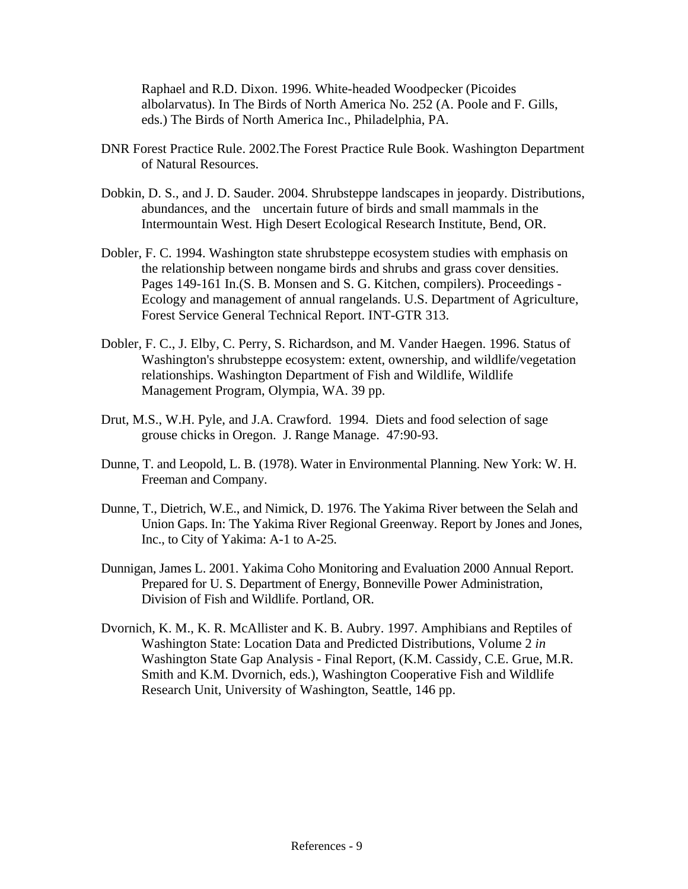Raphael and R.D. Dixon. 1996. White-headed Woodpecker (Picoides albolarvatus). In The Birds of North America No. 252 (A. Poole and F. Gills, eds.) The Birds of North America Inc., Philadelphia, PA.

- DNR Forest Practice Rule. 2002.The Forest Practice Rule Book. Washington Department of Natural Resources.
- Dobkin, D. S., and J. D. Sauder. 2004. Shrubsteppe landscapes in jeopardy. Distributions, abundances, and the uncertain future of birds and small mammals in the Intermountain West. High Desert Ecological Research Institute, Bend, OR.
- Dobler, F. C. 1994. Washington state shrubsteppe ecosystem studies with emphasis on the relationship between nongame birds and shrubs and grass cover densities. Pages 149-161 In.(S. B. Monsen and S. G. Kitchen, compilers). Proceedings - Ecology and management of annual rangelands. U.S. Department of Agriculture, Forest Service General Technical Report. INT-GTR 313.
- Dobler, F. C., J. Elby, C. Perry, S. Richardson, and M. Vander Haegen. 1996. Status of Washington's shrubsteppe ecosystem: extent, ownership, and wildlife/vegetation relationships. Washington Department of Fish and Wildlife, Wildlife Management Program, Olympia, WA. 39 pp.
- Drut, M.S., W.H. Pyle, and J.A. Crawford. 1994. Diets and food selection of sage grouse chicks in Oregon. J. Range Manage. 47:90-93.
- Dunne, T. and Leopold, L. B. (1978). Water in Environmental Planning. New York: W. H. Freeman and Company.
- Dunne, T., Dietrich, W.E., and Nimick, D. 1976. The Yakima River between the Selah and Union Gaps. In: The Yakima River Regional Greenway. Report by Jones and Jones, Inc., to City of Yakima: A-1 to A-25.
- Dunnigan, James L. 2001. Yakima Coho Monitoring and Evaluation 2000 Annual Report. Prepared for U. S. Department of Energy, Bonneville Power Administration, Division of Fish and Wildlife. Portland, OR.
- Dvornich, K. M., K. R. McAllister and K. B. Aubry. 1997. Amphibians and Reptiles of Washington State: Location Data and Predicted Distributions, Volume 2 *in* Washington State Gap Analysis - Final Report, (K.M. Cassidy, C.E. Grue, M.R. Smith and K.M. Dvornich, eds.), Washington Cooperative Fish and Wildlife Research Unit, University of Washington, Seattle, 146 pp.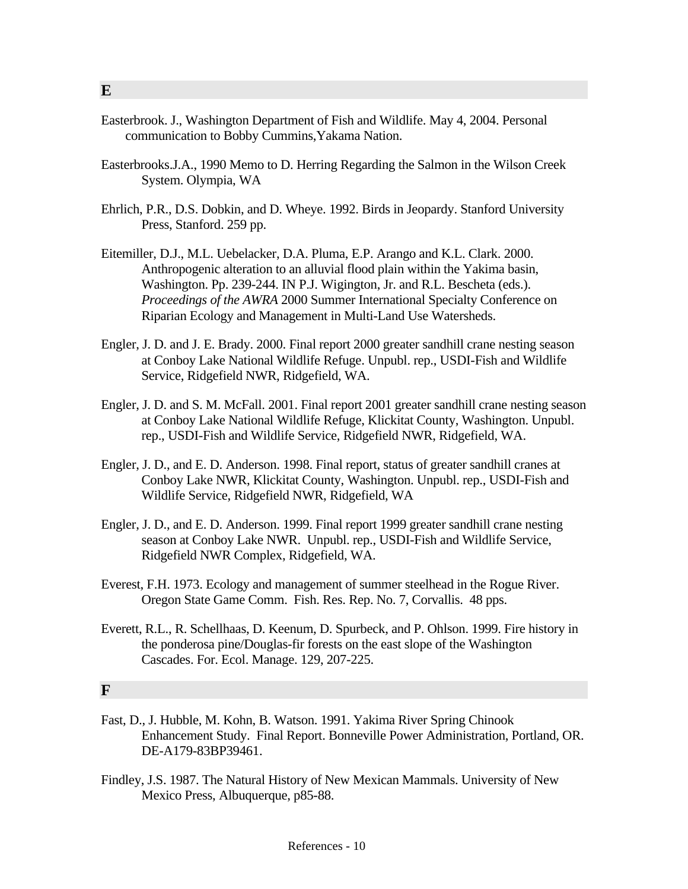- Easterbrook. J., Washington Department of Fish and Wildlife. May 4, 2004. Personal communication to Bobby Cummins,Yakama Nation.
- Easterbrooks.J.A., 1990 Memo to D. Herring Regarding the Salmon in the Wilson Creek System. Olympia, WA
- Ehrlich, P.R., D.S. Dobkin, and D. Wheye. 1992. Birds in Jeopardy. Stanford University Press, Stanford. 259 pp.
- Eitemiller, D.J., M.L. Uebelacker, D.A. Pluma, E.P. Arango and K.L. Clark. 2000. Anthropogenic alteration to an alluvial flood plain within the Yakima basin, Washington. Pp. 239-244. IN P.J. Wigington, Jr. and R.L. Bescheta (eds.). *Proceedings of the AWRA* 2000 Summer International Specialty Conference on Riparian Ecology and Management in Multi-Land Use Watersheds.
- Engler, J. D. and J. E. Brady. 2000. Final report 2000 greater sandhill crane nesting season at Conboy Lake National Wildlife Refuge. Unpubl. rep., USDI-Fish and Wildlife Service, Ridgefield NWR, Ridgefield, WA.
- Engler, J. D. and S. M. McFall. 2001. Final report 2001 greater sandhill crane nesting season at Conboy Lake National Wildlife Refuge, Klickitat County, Washington. Unpubl. rep., USDI-Fish and Wildlife Service, Ridgefield NWR, Ridgefield, WA.
- Engler, J. D., and E. D. Anderson. 1998. Final report, status of greater sandhill cranes at Conboy Lake NWR, Klickitat County, Washington. Unpubl. rep., USDI-Fish and Wildlife Service, Ridgefield NWR, Ridgefield, WA
- Engler, J. D., and E. D. Anderson. 1999. Final report 1999 greater sandhill crane nesting season at Conboy Lake NWR. Unpubl. rep., USDI-Fish and Wildlife Service, Ridgefield NWR Complex, Ridgefield, WA.
- Everest, F.H. 1973. Ecology and management of summer steelhead in the Rogue River. Oregon State Game Comm. Fish. Res. Rep. No. 7, Corvallis. 48 pps.
- Everett, R.L., R. Schellhaas, D. Keenum, D. Spurbeck, and P. Ohlson. 1999. Fire history in the ponderosa pine/Douglas-fir forests on the east slope of the Washington Cascades. For. Ecol. Manage. 129, 207-225.

#### **F**

- Fast, D., J. Hubble, M. Kohn, B. Watson. 1991. Yakima River Spring Chinook Enhancement Study. Final Report. Bonneville Power Administration, Portland, OR. DE-A179-83BP39461.
- Findley, J.S. 1987. The Natural History of New Mexican Mammals. University of New Mexico Press, Albuquerque, p85-88.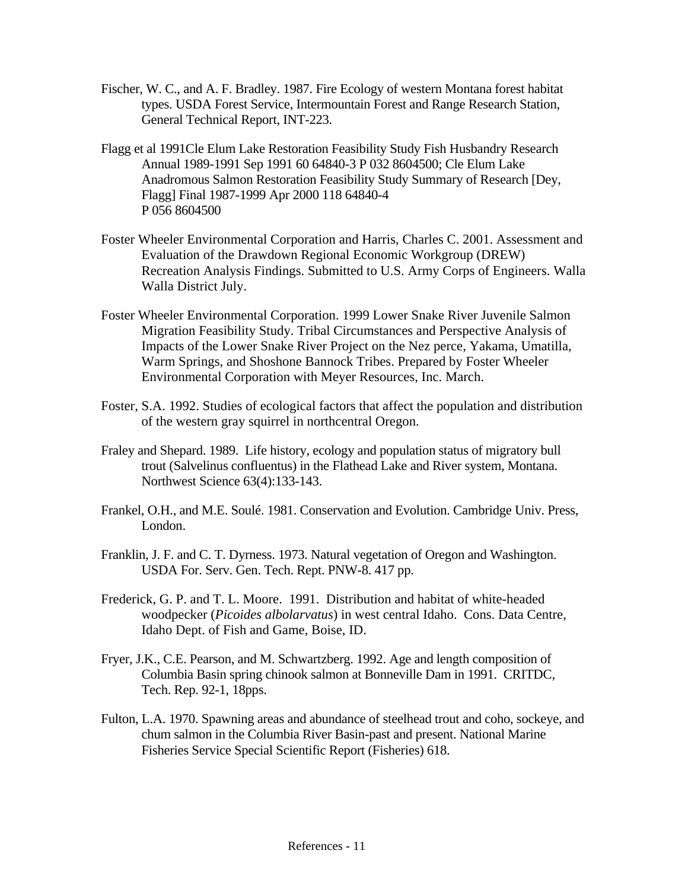- Fischer, W. C., and A. F. Bradley. 1987. Fire Ecology of western Montana forest habitat types. USDA Forest Service, Intermountain Forest and Range Research Station, General Technical Report, INT-223.
- Flagg et al 199[1Cle Elum Lake Restoration Feasibility Study Fish Husbandry Research](http://www.efw.bpa.gov/Environment/EW/EWP/DOCS/REPORTS/YAKIMA/P64840-3.pdf) Annual 1989-1991 Sep 1991 60 64840-3 P 032 [8604500](http://www.efw.bpa.gov/cgi-bin/efw/ws.exe/websql.dir/FW/PROJECTS/ProjectSummary.pl?NewProjNum=198604500); [Cle Elum Lake](http://www.efw.bpa.gov/Environment/EW/EWP/DOCS/REPORTS/YAKIMA/P64840-4.pdf)  [Anadromous Salmon Restoration Feasibility Study Summary of Research](http://www.efw.bpa.gov/Environment/EW/EWP/DOCS/REPORTS/YAKIMA/P64840-4.pdf) [Dey, Flagg] Final 1987-1999 Apr 2000 118 64840-4 P 056 [8604500](http://www.efw.bpa.gov/cgi-bin/efw/ws.exe/websql.dir/FW/PROJECTS/ProjectSummary.pl?NewProjNum=198604500)
- Foster Wheeler Environmental Corporation and Harris, Charles C. 2001. Assessment and Evaluation of the Drawdown Regional Economic Workgroup (DREW) Recreation Analysis Findings. Submitted to U.S. Army Corps of Engineers. Walla Walla District July.
- Foster Wheeler Environmental Corporation. 1999 Lower Snake River Juvenile Salmon Migration Feasibility Study. Tribal Circumstances and Perspective Analysis of Impacts of the Lower Snake River Project on the Nez perce, Yakama, Umatilla, Warm Springs, and Shoshone Bannock Tribes. Prepared by Foster Wheeler Environmental Corporation with Meyer Resources, Inc. March.
- Foster, S.A. 1992. Studies of ecological factors that affect the population and distribution of the western gray squirrel in northcentral Oregon.
- Fraley and Shepard. 1989. Life history, ecology and population status of migratory bull trout (Salvelinus confluentus) in the Flathead Lake and River system, Montana. Northwest Science 63(4):133-143.
- Frankel, O.H., and M.E. Soulé. 1981. Conservation and Evolution. Cambridge Univ. Press, London.
- Franklin, J. F. and C. T. Dyrness. 1973. Natural vegetation of Oregon and Washington. USDA For. Serv. Gen. Tech. Rept. PNW-8. 417 pp.
- Frederick, G. P. and T. L. Moore. 1991. Distribution and habitat of white-headed woodpecker (*Picoides albolarvatus*) in west central Idaho. Cons. Data Centre, Idaho Dept. of Fish and Game, Boise, ID.
- Fryer, J.K., C.E. Pearson, and M. Schwartzberg. 1992. Age and length composition of Columbia Basin spring chinook salmon at Bonneville Dam in 1991. CRITDC, Tech. Rep. 92-1, 18pps.
- Fulton, L.A. 1970. Spawning areas and abundance of steelhead trout and coho, sockeye, and chum salmon in the Columbia River Basin-past and present. National Marine Fisheries Service Special Scientific Report (Fisheries) 618.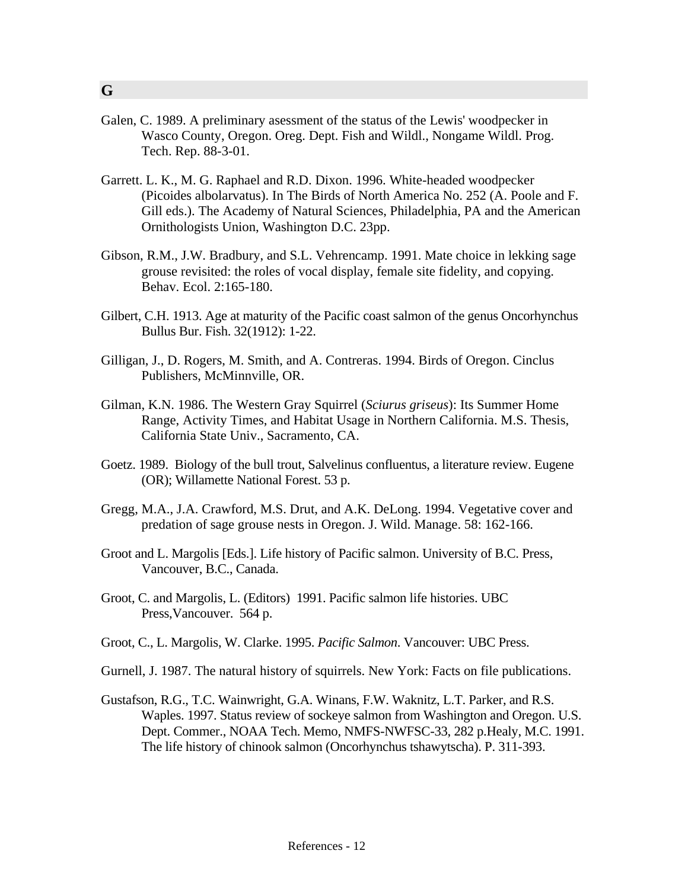- Galen, C. 1989. A preliminary asessment of the status of the Lewis' woodpecker in Wasco County, Oregon. Oreg. Dept. Fish and Wildl., Nongame Wildl. Prog. Tech. Rep. 88-3-01.
- Garrett. L. K., M. G. Raphael and R.D. Dixon. 1996. White-headed woodpecker (Picoides albolarvatus). In The Birds of North America No. 252 (A. Poole and F. Gill eds.). The Academy of Natural Sciences, Philadelphia, PA and the American Ornithologists Union, Washington D.C. 23pp.
- Gibson, R.M., J.W. Bradbury, and S.L. Vehrencamp. 1991. Mate choice in lekking sage grouse revisited: the roles of vocal display, female site fidelity, and copying. Behav. Ecol. 2:165-180.
- Gilbert, C.H. 1913. Age at maturity of the Pacific coast salmon of the genus Oncorhynchus Bullus Bur. Fish. 32(1912): 1-22.
- Gilligan, J., D. Rogers, M. Smith, and A. Contreras. 1994. Birds of Oregon. Cinclus Publishers, McMinnville, OR.
- Gilman, K.N. 1986. The Western Gray Squirrel (*Sciurus griseus*): Its Summer Home Range, Activity Times, and Habitat Usage in Northern California. M.S. Thesis, California State Univ., Sacramento, CA.
- Goetz. 1989. Biology of the bull trout, Salvelinus confluentus, a literature review. Eugene (OR); Willamette National Forest. 53 p.
- Gregg, M.A., J.A. Crawford, M.S. Drut, and A.K. DeLong. 1994. Vegetative cover and predation of sage grouse nests in Oregon. J. Wild. Manage. 58: 162-166.
- Groot and L. Margolis [Eds.]. Life history of Pacific salmon. University of B.C. Press, Vancouver, B.C., Canada.
- Groot, C. and Margolis, L. (Editors) 1991. Pacific salmon life histories. UBC Press,Vancouver. 564 p.
- Groot, C., L. Margolis, W. Clarke. 1995. *Pacific Salmon*. Vancouver: UBC Press.
- Gurnell, J. 1987. The natural history of squirrels. New York: Facts on file publications.
- Gustafson, R.G., T.C. Wainwright, G.A. Winans, F.W. Waknitz, L.T. Parker, and R.S. Waples. 1997. Status review of sockeye salmon from Washington and Oregon. U.S. Dept. Commer., NOAA Tech. Memo, NMFS-NWFSC-33, 282 p.Healy, M.C. 1991. The life history of chinook salmon (Oncorhynchus tshawytscha). P. 311-393.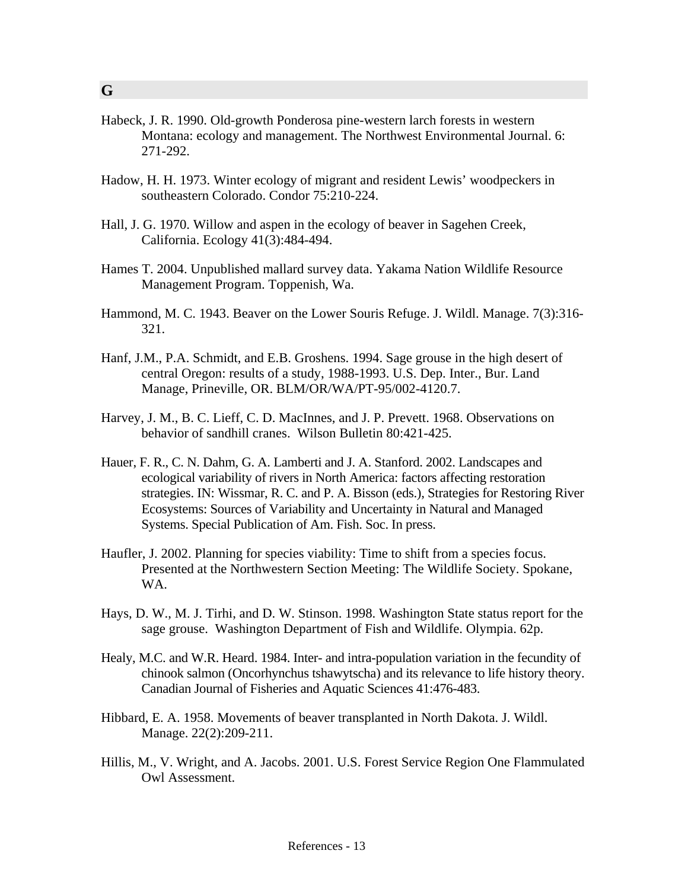- Habeck, J. R. 1990. Old-growth Ponderosa pine-western larch forests in western Montana: ecology and management. The Northwest Environmental Journal. 6: 271-292.
- Hadow, H. H. 1973. Winter ecology of migrant and resident Lewis' woodpeckers in southeastern Colorado. Condor 75:210-224.
- Hall, J. G. 1970. Willow and aspen in the ecology of beaver in Sagehen Creek, California. Ecology 41(3):484-494.
- Hames T. 2004. Unpublished mallard survey data. Yakama Nation Wildlife Resource Management Program. Toppenish, Wa.
- Hammond, M. C. 1943. Beaver on the Lower Souris Refuge. J. Wildl. Manage. 7(3):316- 321.
- Hanf, J.M., P.A. Schmidt, and E.B. Groshens. 1994. Sage grouse in the high desert of central Oregon: results of a study, 1988-1993. U.S. Dep. Inter., Bur. Land Manage, Prineville, OR. BLM/OR/WA/PT-95/002-4120.7.
- Harvey, J. M., B. C. Lieff, C. D. MacInnes, and J. P. Prevett. 1968. Observations on behavior of sandhill cranes. Wilson Bulletin 80:421-425.
- Hauer, F. R., C. N. Dahm, G. A. Lamberti and J. A. Stanford. 2002. Landscapes and ecological variability of rivers in North America: factors affecting restoration strategies. IN: Wissmar, R. C. and P. A. Bisson (eds.), Strategies for Restoring River Ecosystems: Sources of Variability and Uncertainty in Natural and Managed Systems. Special Publication of Am. Fish. Soc. In press.
- Haufler, J. 2002. Planning for species viability: Time to shift from a species focus. Presented at the Northwestern Section Meeting: The Wildlife Society. Spokane, WA.
- Hays, D. W., M. J. Tirhi, and D. W. Stinson. 1998. Washington State status report for the sage grouse. Washington Department of Fish and Wildlife. Olympia. 62p.
- Healy, M.C. and W.R. Heard. 1984. Inter- and intra-population variation in the fecundity of chinook salmon (Oncorhynchus tshawytscha) and its relevance to life history theory. Canadian Journal of Fisheries and Aquatic Sciences 41:476-483.
- Hibbard, E. A. 1958. Movements of beaver transplanted in North Dakota. J. Wildl. Manage. 22(2):209-211.
- Hillis, M., V. Wright, and A. Jacobs. 2001. U.S. Forest Service Region One Flammulated Owl Assessment.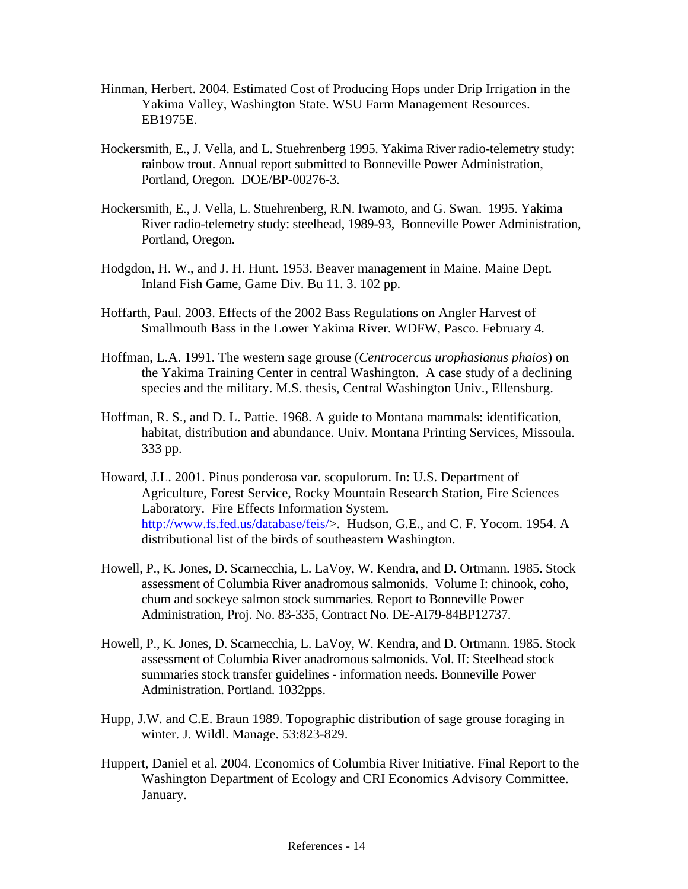- Hinman, Herbert. 2004. Estimated Cost of Producing Hops under Drip Irrigation in the Yakima Valley, Washington State. WSU Farm Management Resources. EB1975E.
- Hockersmith, E., J. Vella, and L. Stuehrenberg 1995. Yakima River radio-telemetry study: rainbow trout. Annual report submitted to Bonneville Power Administration, Portland, Oregon. DOE/BP-00276-3.
- Hockersmith, E., J. Vella, L. Stuehrenberg, R.N. Iwamoto, and G. Swan. 1995. Yakima River radio-telemetry study: steelhead, 1989-93, Bonneville Power Administration, Portland, Oregon.
- Hodgdon, H. W., and J. H. Hunt. 1953. Beaver management in Maine. Maine Dept. Inland Fish Game, Game Div. Bu 11. 3. 102 pp.
- Hoffarth, Paul. 2003. Effects of the 2002 Bass Regulations on Angler Harvest of Smallmouth Bass in the Lower Yakima River. WDFW, Pasco. February 4.
- Hoffman, L.A. 1991. The western sage grouse (*Centrocercus urophasianus phaios*) on the Yakima Training Center in central Washington. A case study of a declining species and the military. M.S. thesis, Central Washington Univ., Ellensburg.
- Hoffman, R. S., and D. L. Pattie. 1968. A guide to Montana mammals: identification, habitat, distribution and abundance. Univ. Montana Printing Services, Missoula. 333 pp.
- Howard, J.L. 2001. Pinus ponderosa var. scopulorum. In: U.S. Department of Agriculture, Forest Service, Rocky Mountain Research Station, Fire Sciences Laboratory. Fire Effects Information System. [http://www.fs.fed.us/database/feis/>](http://www.fs.fed.us/database/feis/). Hudson, G.E., and C. F. Yocom. 1954. A distributional list of the birds of southeastern Washington.
- Howell, P., K. Jones, D. Scarnecchia, L. LaVoy, W. Kendra, and D. Ortmann. 1985. Stock assessment of Columbia River anadromous salmonids. Volume I: chinook, coho, chum and sockeye salmon stock summaries. Report to Bonneville Power Administration, Proj. No. 83-335, Contract No. DE-AI79-84BP12737.
- Howell, P., K. Jones, D. Scarnecchia, L. LaVoy, W. Kendra, and D. Ortmann. 1985. Stock assessment of Columbia River anadromous salmonids. Vol. II: Steelhead stock summaries stock transfer guidelines - information needs. Bonneville Power Administration. Portland. 1032pps.
- Hupp, J.W. and C.E. Braun 1989. Topographic distribution of sage grouse foraging in winter. J. Wildl. Manage. 53:823-829.
- Huppert, Daniel et al. 2004. Economics of Columbia River Initiative. Final Report to the Washington Department of Ecology and CRI Economics Advisory Committee. January.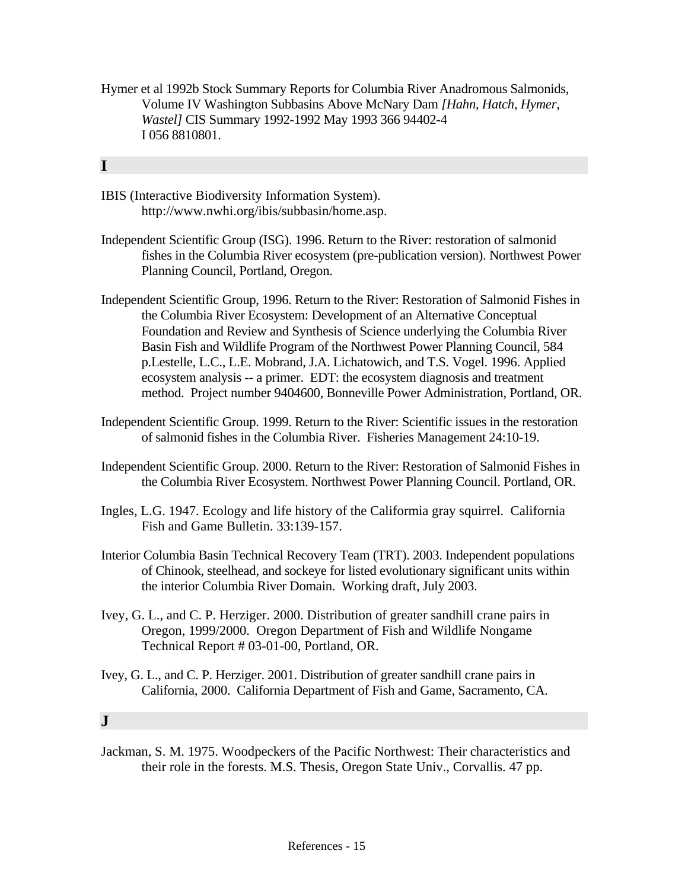Hymer et al 1992b Stock Summary Reports for Columbia River Anadromous Salmonids, Volume IV Washington Subbasins Above McNary Dam *[Hahn, Hatch, Hymer, Wastel]* CIS Summary 1992-1992 May 1993 366 94402-4 I 056 8810801.

# **I**

- IBIS (Interactive Biodiversity Information System). http://www.nwhi.org/ibis/subbasin/home.asp.
- Independent Scientific Group (ISG). 1996. Return to the River: restoration of salmonid fishes in the Columbia River ecosystem (pre-publication version). Northwest Power Planning Council, Portland, Oregon.
- Independent Scientific Group, 1996. Return to the River: Restoration of Salmonid Fishes in the Columbia River Ecosystem: Development of an Alternative Conceptual Foundation and Review and Synthesis of Science underlying the Columbia River Basin Fish and Wildlife Program of the Northwest Power Planning Council, 584 p.Lestelle, L.C., L.E. Mobrand, J.A. Lichatowich, and T.S. Vogel. 1996. Applied ecosystem analysis -- a primer. EDT: the ecosystem diagnosis and treatment method. Project number 9404600, Bonneville Power Administration, Portland, OR.
- Independent Scientific Group. 1999. Return to the River: Scientific issues in the restoration of salmonid fishes in the Columbia River. Fisheries Management 24:10-19.
- Independent Scientific Group. 2000. Return to the River: Restoration of Salmonid Fishes in the Columbia River Ecosystem. Northwest Power Planning Council. Portland, OR.
- Ingles, L.G. 1947. Ecology and life history of the Califormia gray squirrel. California Fish and Game Bulletin. 33:139-157.
- Interior Columbia Basin Technical Recovery Team (TRT). 2003. Independent populations of Chinook, steelhead, and sockeye for listed evolutionary significant units within the interior Columbia River Domain. Working draft, July 2003.
- Ivey, G. L., and C. P. Herziger. 2000. Distribution of greater sandhill crane pairs in Oregon, 1999/2000. Oregon Department of Fish and Wildlife Nongame Technical Report # 03-01-00, Portland, OR.
- Ivey, G. L., and C. P. Herziger. 2001. Distribution of greater sandhill crane pairs in California, 2000. California Department of Fish and Game, Sacramento, CA.

## **J**

Jackman, S. M. 1975. Woodpeckers of the Pacific Northwest: Their characteristics and their role in the forests. M.S. Thesis, Oregon State Univ., Corvallis. 47 pp.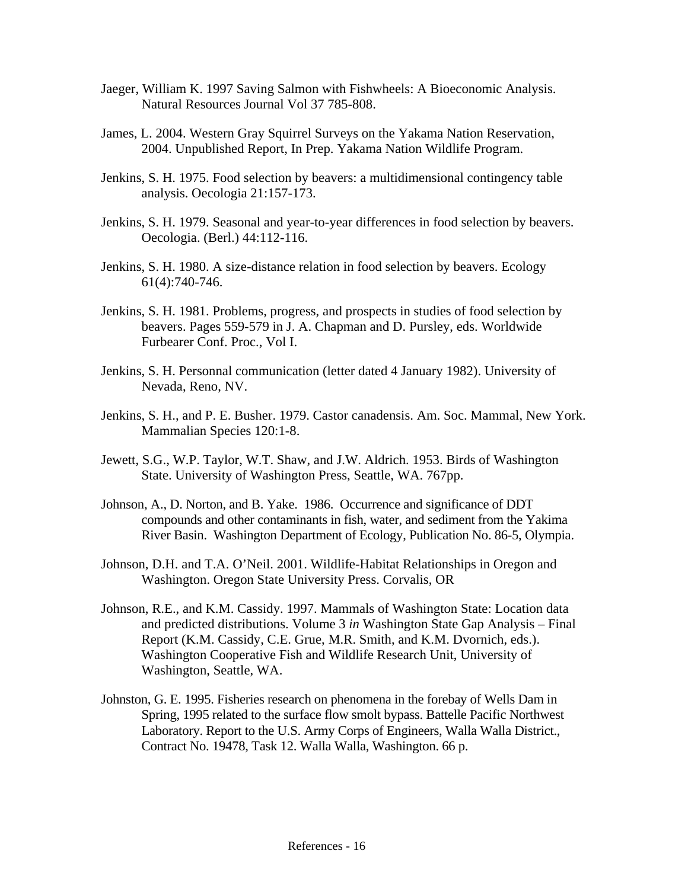- Jaeger, William K. 1997 Saving Salmon with Fishwheels: A Bioeconomic Analysis. Natural Resources Journal Vol 37 785-808.
- James, L. 2004. Western Gray Squirrel Surveys on the Yakama Nation Reservation, 2004. Unpublished Report, In Prep. Yakama Nation Wildlife Program.
- Jenkins, S. H. 1975. Food selection by beavers: a multidimensional contingency table analysis. Oecologia 21:157-173.
- Jenkins, S. H. 1979. Seasonal and year-to-year differences in food selection by beavers. Oecologia. (Berl.) 44:112-116.
- Jenkins, S. H. 1980. A size-distance relation in food selection by beavers. Ecology 61(4):740-746.
- Jenkins, S. H. 1981. Problems, progress, and prospects in studies of food selection by beavers. Pages 559-579 in J. A. Chapman and D. Pursley, eds. Worldwide Furbearer Conf. Proc., Vol I.
- Jenkins, S. H. Personnal communication (letter dated 4 January 1982). University of Nevada, Reno, NV.
- Jenkins, S. H., and P. E. Busher. 1979. Castor canadensis. Am. Soc. Mammal, New York. Mammalian Species 120:1-8.
- Jewett, S.G., W.P. Taylor, W.T. Shaw, and J.W. Aldrich. 1953. Birds of Washington State. University of Washington Press, Seattle, WA. 767pp.
- Johnson, A., D. Norton, and B. Yake. 1986. Occurrence and significance of DDT compounds and other contaminants in fish, water, and sediment from the Yakima River Basin. Washington Department of Ecology, Publication No. 86-5, Olympia.
- Johnson, D.H. and T.A. O'Neil. 2001. Wildlife-Habitat Relationships in Oregon and Washington. Oregon State University Press. Corvalis, OR
- Johnson, R.E., and K.M. Cassidy. 1997. Mammals of Washington State: Location data and predicted distributions. Volume 3 *in* Washington State Gap Analysis – Final Report (K.M. Cassidy, C.E. Grue, M.R. Smith, and K.M. Dvornich, eds.). Washington Cooperative Fish and Wildlife Research Unit, University of Washington, Seattle, WA.
- Johnston, G. E. 1995. Fisheries research on phenomena in the forebay of Wells Dam in Spring, 1995 related to the surface flow smolt bypass. Battelle Pacific Northwest Laboratory. Report to the U.S. Army Corps of Engineers, Walla Walla District., Contract No. 19478, Task 12. Walla Walla, Washington. 66 p.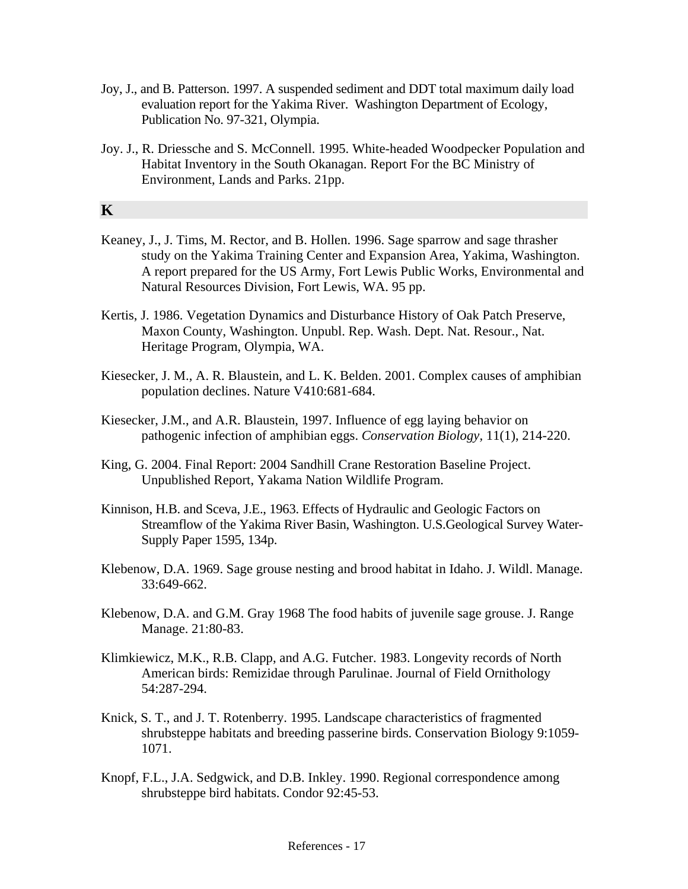- Joy, J., and B. Patterson. 1997. A suspended sediment and DDT total maximum daily load evaluation report for the Yakima River. Washington Department of Ecology, Publication No. 97-321, Olympia.
- Joy. J., R. Driessche and S. McConnell. 1995. White-headed Woodpecker Population and Habitat Inventory in the South Okanagan. Report For the BC Ministry of Environment, Lands and Parks. 21pp.

### **K**

- Keaney, J., J. Tims, M. Rector, and B. Hollen. 1996. Sage sparrow and sage thrasher study on the Yakima Training Center and Expansion Area, Yakima, Washington. A report prepared for the US Army, Fort Lewis Public Works, Environmental and Natural Resources Division, Fort Lewis, WA. 95 pp.
- Kertis, J. 1986. Vegetation Dynamics and Disturbance History of Oak Patch Preserve, Maxon County, Washington. Unpubl. Rep. Wash. Dept. Nat. Resour., Nat. Heritage Program, Olympia, WA.
- Kiesecker, J. M., A. R. Blaustein, and L. K. Belden. 2001. Complex causes of amphibian population declines. Nature V410:681-684.
- Kiesecker, J.M., and A.R. Blaustein, 1997. Influence of egg laying behavior on pathogenic infection of amphibian eggs. *Conservation Biology,* 11(1), 214-220.
- King, G. 2004. Final Report: 2004 Sandhill Crane Restoration Baseline Project. Unpublished Report, Yakama Nation Wildlife Program.
- Kinnison, H.B. and Sceva, J.E., 1963. Effects of Hydraulic and Geologic Factors on Streamflow of the Yakima River Basin, Washington. U.S.Geological Survey Water-Supply Paper 1595, 134p.
- Klebenow, D.A. 1969. Sage grouse nesting and brood habitat in Idaho. J. Wildl. Manage. 33:649-662.
- Klebenow, D.A. and G.M. Gray 1968 The food habits of juvenile sage grouse. J. Range Manage. 21:80-83.
- Klimkiewicz, M.K., R.B. Clapp, and A.G. Futcher. 1983. Longevity records of North American birds: Remizidae through Parulinae. Journal of Field Ornithology 54:287-294.
- Knick, S. T., and J. T. Rotenberry. 1995. Landscape characteristics of fragmented shrubsteppe habitats and breeding passerine birds. Conservation Biology 9:1059- 1071.
- Knopf, F.L., J.A. Sedgwick, and D.B. Inkley. 1990. Regional correspondence among shrubsteppe bird habitats. Condor 92:45-53.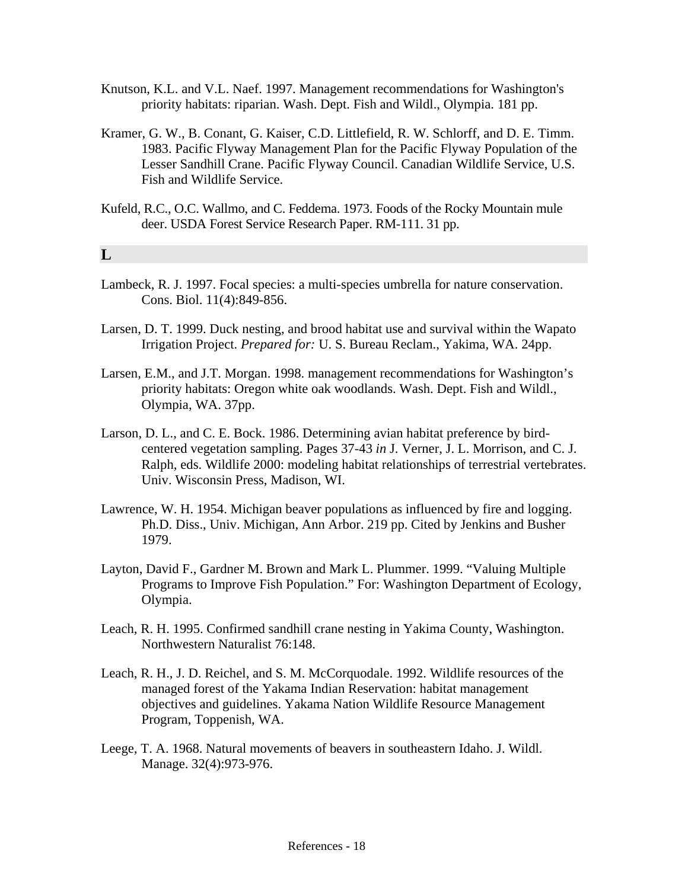- Knutson, K.L. and V.L. Naef. 1997. Management recommendations for Washington's priority habitats: riparian. Wash. Dept. Fish and Wildl., Olympia. 181 pp.
- Kramer, G. W., B. Conant, G. Kaiser, C.D. Littlefield, R. W. Schlorff, and D. E. Timm. 1983. Pacific Flyway Management Plan for the Pacific Flyway Population of the Lesser Sandhill Crane. Pacific Flyway Council. Canadian Wildlife Service, U.S. Fish and Wildlife Service.
- Kufeld, R.C., O.C. Wallmo, and C. Feddema. 1973. Foods of the Rocky Mountain mule deer. USDA Forest Service Research Paper. RM-111. 31 pp.

### **L**

- Lambeck, R. J. 1997. Focal species: a multi-species umbrella for nature conservation. Cons. Biol. 11(4):849-856.
- Larsen, D. T. 1999. Duck nesting, and brood habitat use and survival within the Wapato Irrigation Project. *Prepared for:* U. S. Bureau Reclam., Yakima, WA. 24pp.
- Larsen, E.M., and J.T. Morgan. 1998. management recommendations for Washington's priority habitats: Oregon white oak woodlands. Wash. Dept. Fish and Wildl., Olympia, WA. 37pp.
- Larson, D. L., and C. E. Bock. 1986. Determining avian habitat preference by birdcentered vegetation sampling. Pages 37-43 *in* J. Verner, J. L. Morrison, and C. J. Ralph, eds. Wildlife 2000: modeling habitat relationships of terrestrial vertebrates. Univ. Wisconsin Press, Madison, WI.
- Lawrence, W. H. 1954. Michigan beaver populations as influenced by fire and logging. Ph.D. Diss., Univ. Michigan, Ann Arbor. 219 pp. Cited by Jenkins and Busher 1979.
- Layton, David F., Gardner M. Brown and Mark L. Plummer. 1999. "Valuing Multiple Programs to Improve Fish Population." For: Washington Department of Ecology, Olympia.
- Leach, R. H. 1995. Confirmed sandhill crane nesting in Yakima County, Washington. Northwestern Naturalist 76:148.
- Leach, R. H., J. D. Reichel, and S. M. McCorquodale. 1992. Wildlife resources of the managed forest of the Yakama Indian Reservation: habitat management objectives and guidelines. Yakama Nation Wildlife Resource Management Program, Toppenish, WA.
- Leege, T. A. 1968. Natural movements of beavers in southeastern Idaho. J. Wildl. Manage. 32(4):973-976.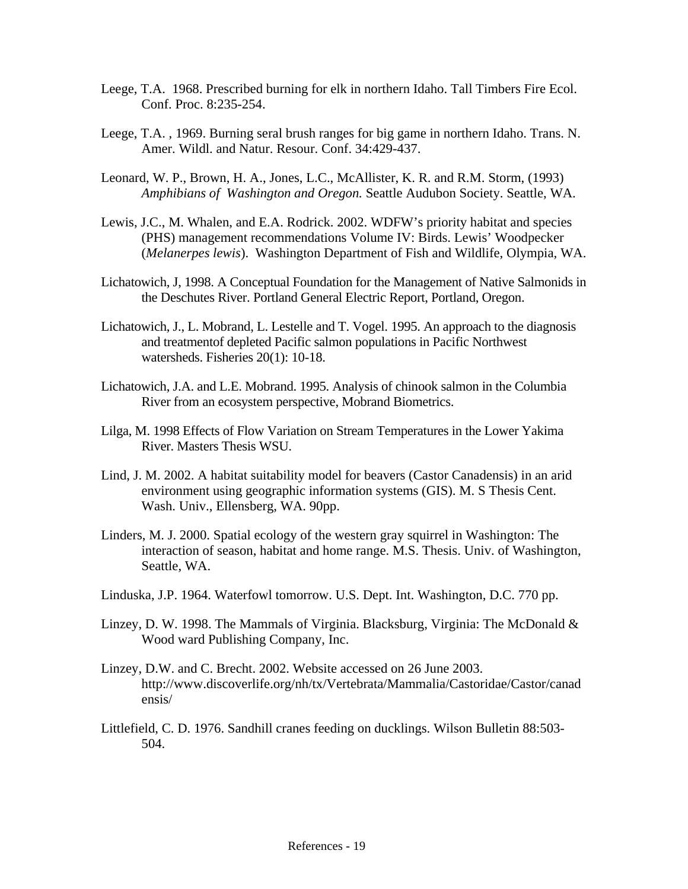- Leege, T.A. 1968. Prescribed burning for elk in northern Idaho. Tall Timbers Fire Ecol. Conf. Proc. 8:235-254.
- Leege, T.A. , 1969. Burning seral brush ranges for big game in northern Idaho. Trans. N. Amer. Wildl. and Natur. Resour. Conf. 34:429-437.
- Leonard, W. P., Brown, H. A., Jones, L.C., McAllister, K. R. and R.M. Storm, (1993) *Amphibians of Washington and Oregon.* Seattle Audubon Society. Seattle, WA.
- Lewis, J.C., M. Whalen, and E.A. Rodrick. 2002. WDFW's priority habitat and species (PHS) management recommendations Volume IV: Birds. Lewis' Woodpecker (*Melanerpes lewis*). Washington Department of Fish and Wildlife, Olympia, WA.
- Lichatowich, J, 1998. A Conceptual Foundation for the Management of Native Salmonids in the Deschutes River. Portland General Electric Report, Portland, Oregon.
- Lichatowich, J., L. Mobrand, L. Lestelle and T. Vogel. 1995. An approach to the diagnosis and treatmentof depleted Pacific salmon populations in Pacific Northwest watersheds. Fisheries 20(1): 10-18.
- Lichatowich, J.A. and L.E. Mobrand. 1995. Analysis of chinook salmon in the Columbia River from an ecosystem perspective, Mobrand Biometrics.
- Lilga, M. 1998 Effects of Flow Variation on Stream Temperatures in the Lower Yakima River. Masters Thesis WSU.
- Lind, J. M. 2002. A habitat suitability model for beavers (Castor Canadensis) in an arid environment using geographic information systems (GIS). M. S Thesis Cent. Wash. Univ., Ellensberg, WA. 90pp.
- Linders, M. J. 2000. Spatial ecology of the western gray squirrel in Washington: The interaction of season, habitat and home range. M.S. Thesis. Univ. of Washington, Seattle, WA.
- Linduska, J.P. 1964. Waterfowl tomorrow. U.S. Dept. Int. Washington, D.C. 770 pp.
- Linzey, D. W. 1998. The Mammals of Virginia. Blacksburg, Virginia: The McDonald & Wood ward Publishing Company, Inc.
- Linzey, D.W. and C. Brecht. 2002. Website accessed on 26 June 2003. http://www.discoverlife.org/nh/tx/Vertebrata/Mammalia/Castoridae/Castor/canad ensis/
- Littlefield, C. D. 1976. Sandhill cranes feeding on ducklings. Wilson Bulletin 88:503- 504.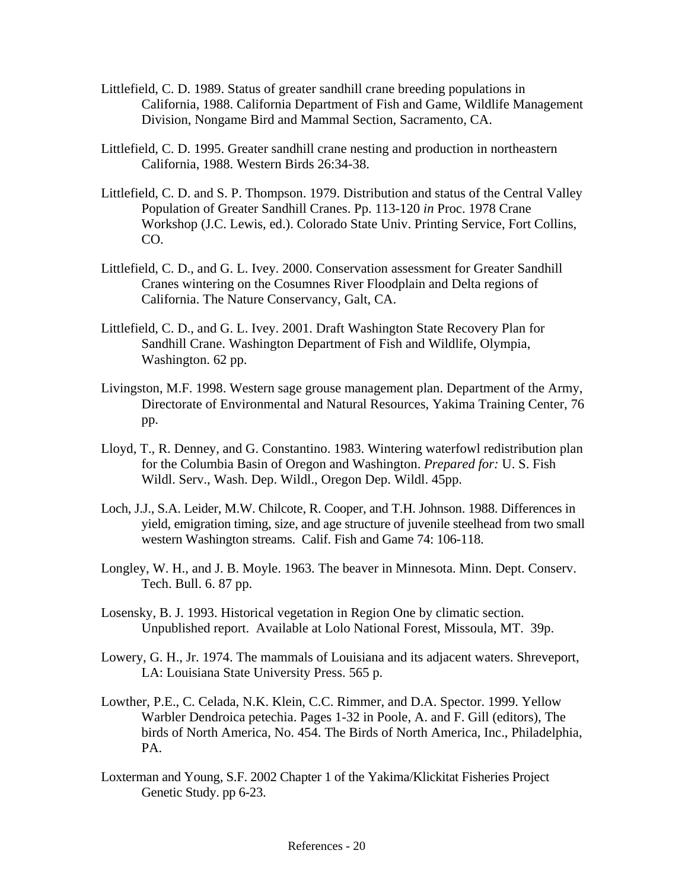- Littlefield, C. D. 1989. Status of greater sandhill crane breeding populations in California, 1988. California Department of Fish and Game, Wildlife Management Division, Nongame Bird and Mammal Section, Sacramento, CA.
- Littlefield, C. D. 1995. Greater sandhill crane nesting and production in northeastern California, 1988. Western Birds 26:34-38.
- Littlefield, C. D. and S. P. Thompson. 1979. Distribution and status of the Central Valley Population of Greater Sandhill Cranes. Pp. 113-120 *in* Proc. 1978 Crane Workshop (J.C. Lewis, ed.). Colorado State Univ. Printing Service, Fort Collins, CO.
- Littlefield, C. D., and G. L. Ivey. 2000. Conservation assessment for Greater Sandhill Cranes wintering on the Cosumnes River Floodplain and Delta regions of California. The Nature Conservancy, Galt, CA.
- Littlefield, C. D., and G. L. Ivey. 2001. Draft Washington State Recovery Plan for Sandhill Crane. Washington Department of Fish and Wildlife, Olympia, Washington. 62 pp.
- Livingston, M.F. 1998. Western sage grouse management plan. Department of the Army, Directorate of Environmental and Natural Resources, Yakima Training Center, 76 pp.
- Lloyd, T., R. Denney, and G. Constantino. 1983. Wintering waterfowl redistribution plan for the Columbia Basin of Oregon and Washington. *Prepared for:* U. S. Fish Wildl. Serv., Wash. Dep. Wildl., Oregon Dep. Wildl. 45pp.
- Loch, J.J., S.A. Leider, M.W. Chilcote, R. Cooper, and T.H. Johnson. 1988. Differences in yield, emigration timing, size, and age structure of juvenile steelhead from two small western Washington streams. Calif. Fish and Game 74: 106-118.
- Longley, W. H., and J. B. Moyle. 1963. The beaver in Minnesota. Minn. Dept. Conserv. Tech. Bull. 6. 87 pp.
- Losensky, B. J. 1993. Historical vegetation in Region One by climatic section. Unpublished report. Available at Lolo National Forest, Missoula, MT. 39p.
- Lowery, G. H., Jr. 1974. The mammals of Louisiana and its adjacent waters. Shreveport, LA: Louisiana State University Press. 565 p.
- Lowther, P.E., C. Celada, N.K. Klein, C.C. Rimmer, and D.A. Spector. 1999. Yellow Warbler Dendroica petechia. Pages 1-32 in Poole, A. and F. Gill (editors), The birds of North America, No. 454. The Birds of North America, Inc., Philadelphia, PA.
- Loxterman and Young, S.F. 2002 Chapter 1 of the Yakima/Klickitat Fisheries Project Genetic Study. pp 6-23.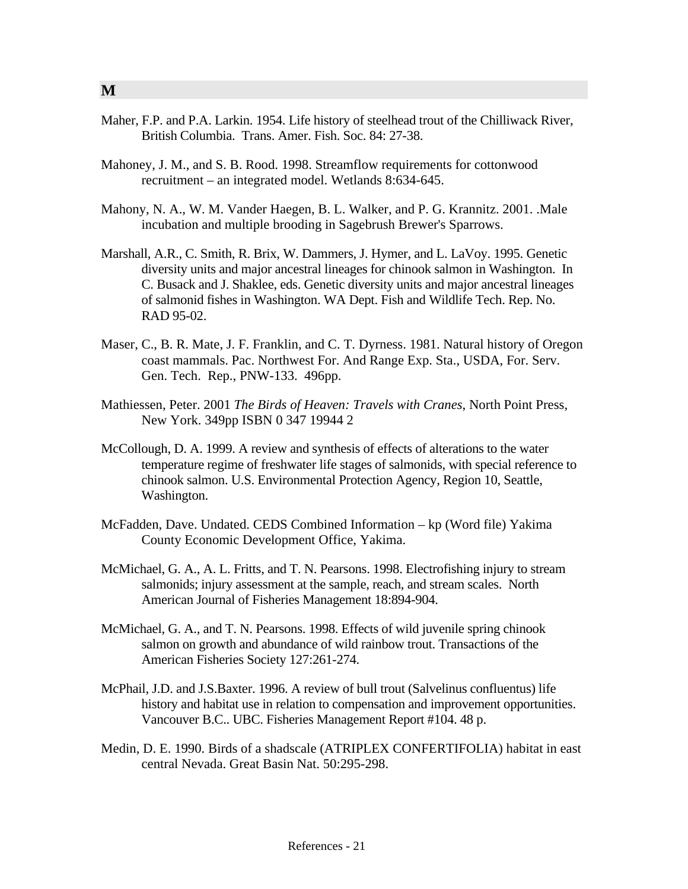- Maher, F.P. and P.A. Larkin. 1954. Life history of steelhead trout of the Chilliwack River, British Columbia. Trans. Amer. Fish. Soc. 84: 27-38.
- Mahoney, J. M., and S. B. Rood. 1998. Streamflow requirements for cottonwood recruitment – an integrated model. Wetlands 8:634-645.
- Mahony, N. A., W. M. Vander Haegen, B. L. Walker, and P. G. Krannitz. 2001. .Male incubation and multiple brooding in Sagebrush Brewer's Sparrows.
- Marshall, A.R., C. Smith, R. Brix, W. Dammers, J. Hymer, and L. LaVoy. 1995. Genetic diversity units and major ancestral lineages for chinook salmon in Washington. In C. Busack and J. Shaklee, eds. Genetic diversity units and major ancestral lineages of salmonid fishes in Washington. WA Dept. Fish and Wildlife Tech. Rep. No. RAD 95-02.
- Maser, C., B. R. Mate, J. F. Franklin, and C. T. Dyrness. 1981. Natural history of Oregon coast mammals. Pac. Northwest For. And Range Exp. Sta., USDA, For. Serv. Gen. Tech. Rep., PNW-133. 496pp.
- Mathiessen, Peter. 2001 *The Birds of Heaven: Travels with Cranes*, North Point Press, New York. 349pp ISBN 0 347 19944 2
- McCollough, D. A. 1999. A review and synthesis of effects of alterations to the water temperature regime of freshwater life stages of salmonids, with special reference to chinook salmon. U.S. Environmental Protection Agency, Region 10, Seattle, Washington.
- McFadden, Dave. Undated. CEDS Combined Information kp (Word file) Yakima County Economic Development Office, Yakima.
- McMichael, G. A., A. L. Fritts, and T. N. Pearsons. 1998. Electrofishing injury to stream salmonids; injury assessment at the sample, reach, and stream scales. North American Journal of Fisheries Management 18:894-904.
- McMichael, G. A., and T. N. Pearsons. 1998. Effects of wild juvenile spring chinook salmon on growth and abundance of wild rainbow trout. Transactions of the American Fisheries Society 127:261-274.
- McPhail, J.D. and J.S.Baxter. 1996. A review of bull trout (Salvelinus confluentus) life history and habitat use in relation to compensation and improvement opportunities. Vancouver B.C.. UBC. Fisheries Management Report #104. 48 p.
- Medin, D. E. 1990. Birds of a shadscale (ATRIPLEX CONFERTIFOLIA) habitat in east central Nevada. Great Basin Nat. 50:295-298.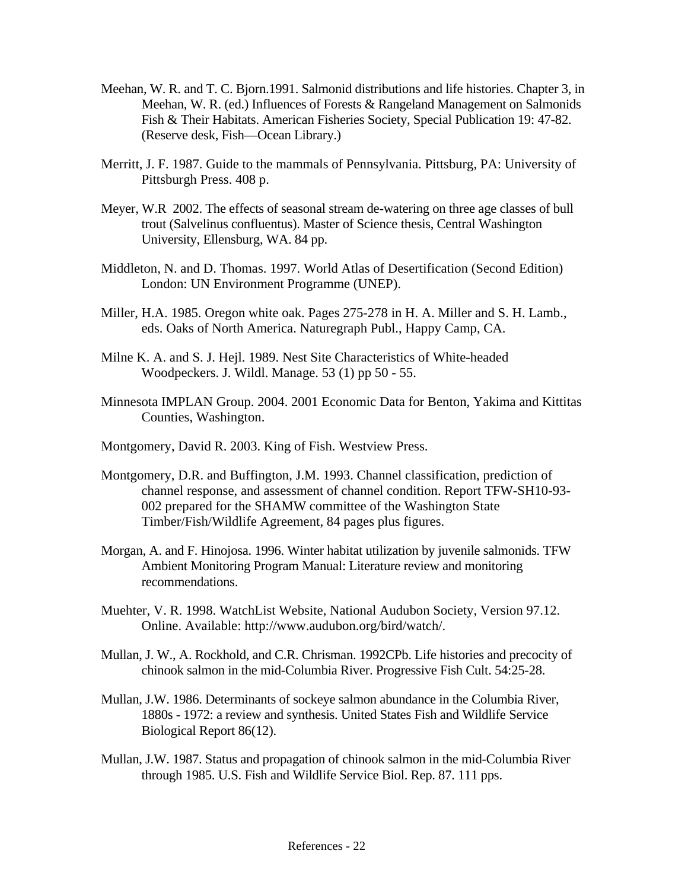- Meehan, W. R. and T. C. Bjorn.1991. Salmonid distributions and life histories. Chapter 3, in Meehan, W. R. (ed.) Influences of Forests & Rangeland Management on Salmonids Fish & Their Habitats. American Fisheries Society, Special Publication 19: 47-82. (Reserve desk, Fish—Ocean Library.)
- Merritt, J. F. 1987. Guide to the mammals of Pennsylvania. Pittsburg, PA: University of Pittsburgh Press. 408 p.
- Meyer, W.R 2002. The effects of seasonal stream de-watering on three age classes of bull trout (Salvelinus confluentus). Master of Science thesis, Central Washington University, Ellensburg, WA. 84 pp.
- Middleton, N. and D. Thomas. 1997. World Atlas of Desertification (Second Edition) London: UN Environment Programme (UNEP).
- Miller, H.A. 1985. Oregon white oak. Pages 275-278 in H. A. Miller and S. H. Lamb., eds. Oaks of North America. Naturegraph Publ., Happy Camp, CA.
- Milne K. A. and S. J. Hejl. 1989. Nest Site Characteristics of White-headed Woodpeckers. J. Wildl. Manage. 53 (1) pp 50 - 55.
- Minnesota IMPLAN Group. 2004. 2001 Economic Data for Benton, Yakima and Kittitas Counties, Washington.
- Montgomery, David R. 2003. King of Fish. Westview Press.
- Montgomery, D.R. and Buffington, J.M. 1993. Channel classification, prediction of channel response, and assessment of channel condition. Report TFW-SH10-93- 002 prepared for the SHAMW committee of the Washington State Timber/Fish/Wildlife Agreement, 84 pages plus figures.
- Morgan, A. and F. Hinojosa. 1996. Winter habitat utilization by juvenile salmonids. TFW Ambient Monitoring Program Manual: Literature review and monitoring recommendations.
- Muehter, V. R. 1998. WatchList Website, National Audubon Society, Version 97.12. Online. Available: http://www.audubon.org/bird/watch/.
- Mullan, J. W., A. Rockhold, and C.R. Chrisman. 1992CPb. Life histories and precocity of chinook salmon in the mid-Columbia River. Progressive Fish Cult. 54:25-28.
- Mullan, J.W. 1986. Determinants of sockeye salmon abundance in the Columbia River, 1880s - 1972: a review and synthesis. United States Fish and Wildlife Service Biological Report 86(12).
- Mullan, J.W. 1987. Status and propagation of chinook salmon in the mid-Columbia River through 1985. U.S. Fish and Wildlife Service Biol. Rep. 87. 111 pps.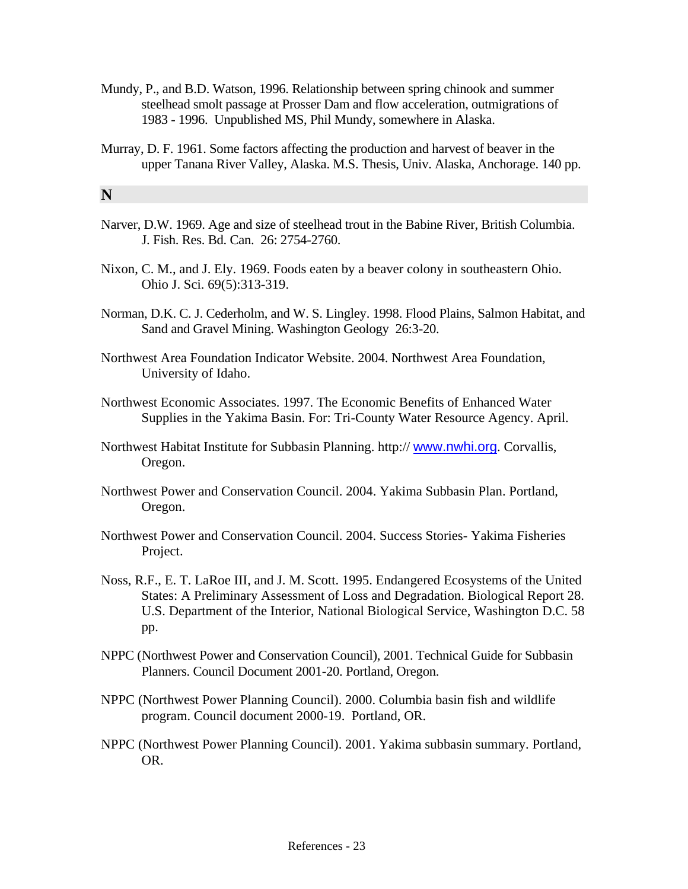- Mundy, P., and B.D. Watson, 1996. Relationship between spring chinook and summer steelhead smolt passage at Prosser Dam and flow acceleration, outmigrations of 1983 - 1996. Unpublished MS, Phil Mundy, somewhere in Alaska.
- Murray, D. F. 1961. Some factors affecting the production and harvest of beaver in the upper Tanana River Valley, Alaska. M.S. Thesis, Univ. Alaska, Anchorage. 140 pp.

## **N**

- Narver, D.W. 1969. Age and size of steelhead trout in the Babine River, British Columbia. J. Fish. Res. Bd. Can. 26: 2754-2760.
- Nixon, C. M., and J. Ely. 1969. Foods eaten by a beaver colony in southeastern Ohio. Ohio J. Sci. 69(5):313-319.
- Norman, D.K. C. J. Cederholm, and W. S. Lingley. 1998. Flood Plains, Salmon Habitat, and Sand and Gravel Mining. Washington Geology 26:3-20.
- Northwest Area Foundation Indicator Website. 2004. Northwest Area Foundation, University of Idaho.
- Northwest Economic Associates. 1997. The Economic Benefits of Enhanced Water Supplies in the Yakima Basin. For: Tri-County Water Resource Agency. April.
- Northwest Habitat Institute for Subbasin Planning. http:// [www.nwhi.org](http://www.nwhi.org/). Corvallis, Oregon.
- Northwest Power and Conservation Council. 2004. Yakima Subbasin Plan. Portland, Oregon.
- Northwest Power and Conservation Council. 2004. Success Stories- Yakima Fisheries Project.
- Noss, R.F., E. T. LaRoe III, and J. M. Scott. 1995. Endangered Ecosystems of the United States: A Preliminary Assessment of Loss and Degradation. Biological Report 28. U.S. Department of the Interior, National Biological Service, Washington D.C. 58 pp.
- NPPC (Northwest Power and Conservation Council), 2001. Technical Guide for Subbasin Planners. Council Document 2001-20. Portland, Oregon.
- NPPC (Northwest Power Planning Council). 2000. Columbia basin fish and wildlife program. Council document 2000-19. Portland, OR.
- NPPC (Northwest Power Planning Council). 2001. Yakima subbasin summary. Portland, OR.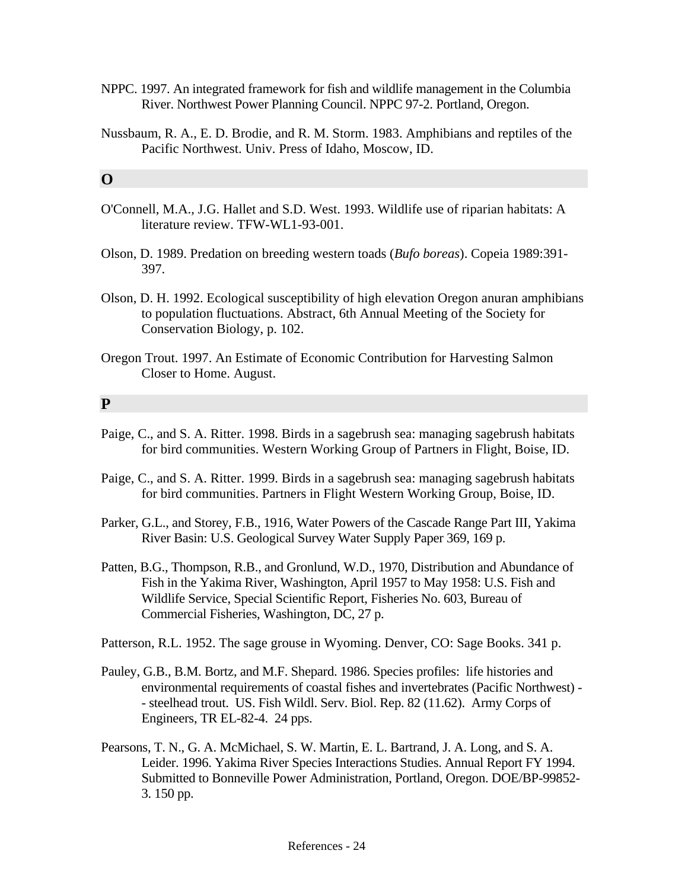- NPPC. 1997. An integrated framework for fish and wildlife management in the Columbia River. Northwest Power Planning Council. NPPC 97-2. Portland, Oregon.
- Nussbaum, R. A., E. D. Brodie, and R. M. Storm. 1983. Amphibians and reptiles of the Pacific Northwest. Univ. Press of Idaho, Moscow, ID.

### **O**

- O'Connell, M.A., J.G. Hallet and S.D. West. 1993. Wildlife use of riparian habitats: A literature review. TFW-WL1-93-001.
- Olson, D. 1989. Predation on breeding western toads (*Bufo boreas*). Copeia 1989:391- 397.
- Olson, D. H. 1992. Ecological susceptibility of high elevation Oregon anuran amphibians to population fluctuations. Abstract, 6th Annual Meeting of the Society for Conservation Biology, p. 102.
- Oregon Trout. 1997. An Estimate of Economic Contribution for Harvesting Salmon Closer to Home. August.

#### **P**

- Paige, C., and S. A. Ritter. 1998. Birds in a sagebrush sea: managing sagebrush habitats for bird communities. Western Working Group of Partners in Flight, Boise, ID.
- Paige, C., and S. A. Ritter. 1999. Birds in a sagebrush sea: managing sagebrush habitats for bird communities. Partners in Flight Western Working Group, Boise, ID.
- Parker, G.L., and Storey, F.B., 1916, Water Powers of the Cascade Range Part III, Yakima River Basin: U.S. Geological Survey Water Supply Paper 369, 169 p.
- Patten, B.G., Thompson, R.B., and Gronlund, W.D., 1970, Distribution and Abundance of Fish in the Yakima River, Washington, April 1957 to May 1958: U.S. Fish and Wildlife Service, Special Scientific Report, Fisheries No. 603, Bureau of Commercial Fisheries, Washington, DC, 27 p.

Patterson, R.L. 1952. The sage grouse in Wyoming. Denver, CO: Sage Books. 341 p.

- Pauley, G.B., B.M. Bortz, and M.F. Shepard. 1986. Species profiles: life histories and environmental requirements of coastal fishes and invertebrates (Pacific Northwest) - - steelhead trout. US. Fish Wildl. Serv. Biol. Rep. 82 (11.62). Army Corps of Engineers, TR EL-82-4. 24 pps.
- Pearsons, T. N., G. A. McMichael, S. W. Martin, E. L. Bartrand, J. A. Long, and S. A. Leider. 1996. Yakima River Species Interactions Studies. Annual Report FY 1994. Submitted to Bonneville Power Administration, Portland, Oregon. DOE/BP-99852- 3. 150 pp.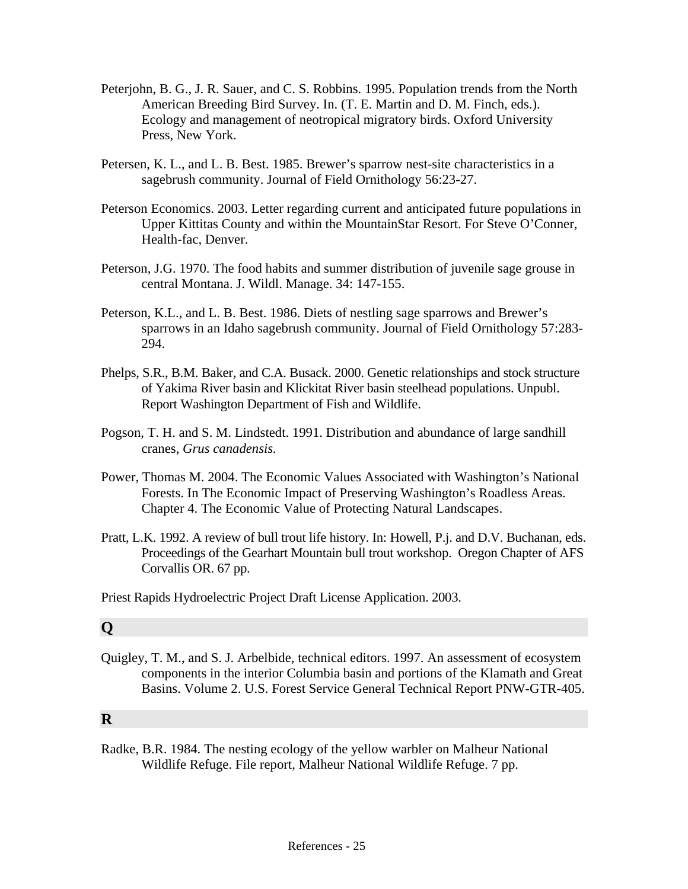- Peterjohn, B. G., J. R. Sauer, and C. S. Robbins. 1995. Population trends from the North American Breeding Bird Survey. In. (T. E. Martin and D. M. Finch, eds.). Ecology and management of neotropical migratory birds. Oxford University Press, New York.
- Petersen, K. L., and L. B. Best. 1985. Brewer's sparrow nest-site characteristics in a sagebrush community. Journal of Field Ornithology 56:23-27.
- Peterson Economics. 2003. Letter regarding current and anticipated future populations in Upper Kittitas County and within the MountainStar Resort. For Steve O'Conner, Health-fac, Denver.
- Peterson, J.G. 1970. The food habits and summer distribution of juvenile sage grouse in central Montana. J. Wildl. Manage. 34: 147-155.
- Peterson, K.L., and L. B. Best. 1986. Diets of nestling sage sparrows and Brewer's sparrows in an Idaho sagebrush community. Journal of Field Ornithology 57:283- 294.
- Phelps, S.R., B.M. Baker, and C.A. Busack. 2000. Genetic relationships and stock structure of Yakima River basin and Klickitat River basin steelhead populations. Unpubl. Report Washington Department of Fish and Wildlife.
- Pogson, T. H. and S. M. Lindstedt. 1991. Distribution and abundance of large sandhill cranes, *Grus canadensis.*
- Power, Thomas M. 2004. The Economic Values Associated with Washington's National Forests. In The Economic Impact of Preserving Washington's Roadless Areas. Chapter 4. The Economic Value of Protecting Natural Landscapes.
- Pratt, L.K. 1992. A review of bull trout life history. In: Howell, P.j. and D.V. Buchanan, eds. Proceedings of the Gearhart Mountain bull trout workshop. Oregon Chapter of AFS Corvallis OR. 67 pp.
- Priest Rapids Hydroelectric Project Draft License Application. 2003.

## **Q**

Quigley, T. M., and S. J. Arbelbide, technical editors. 1997. An assessment of ecosystem components in the interior Columbia basin and portions of the Klamath and Great Basins. Volume 2. U.S. Forest Service General Technical Report PNW-GTR-405.

## **R**

Radke, B.R. 1984. The nesting ecology of the yellow warbler on Malheur National Wildlife Refuge. File report, Malheur National Wildlife Refuge. 7 pp.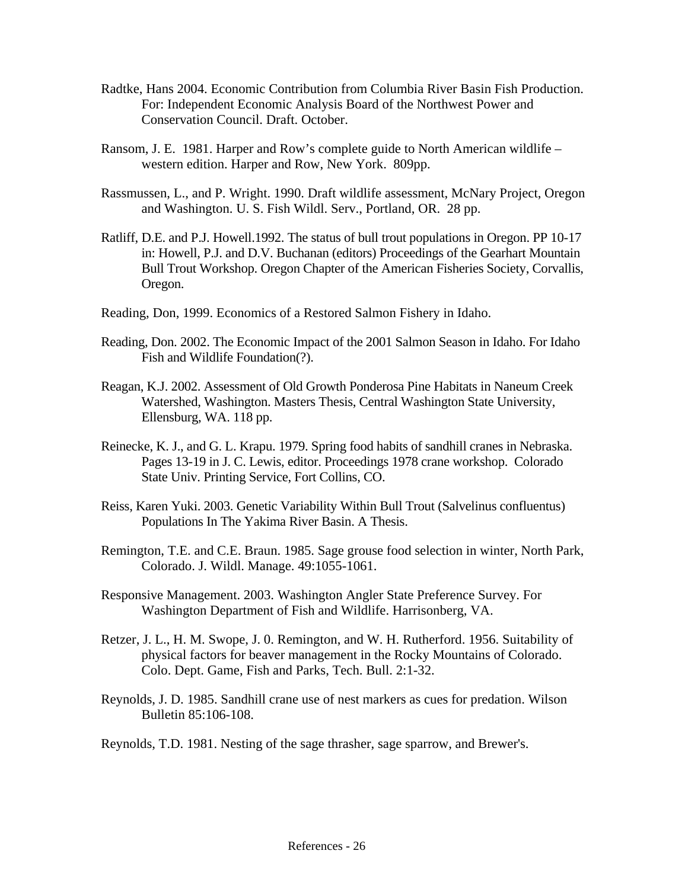- Radtke, Hans 2004. Economic Contribution from Columbia River Basin Fish Production. For: Independent Economic Analysis Board of the Northwest Power and Conservation Council. Draft. October.
- Ransom, J. E. 1981. Harper and Row's complete guide to North American wildlife western edition. Harper and Row, New York. 809pp.
- Rassmussen, L., and P. Wright. 1990. Draft wildlife assessment, McNary Project, Oregon and Washington. U. S. Fish Wildl. Serv., Portland, OR. 28 pp.
- Ratliff, D.E. and P.J. Howell.1992. The status of bull trout populations in Oregon. PP 10-17 in: Howell, P.J. and D.V. Buchanan (editors) Proceedings of the Gearhart Mountain Bull Trout Workshop. Oregon Chapter of the American Fisheries Society, Corvallis, Oregon.
- Reading, Don, 1999. Economics of a Restored Salmon Fishery in Idaho.
- Reading, Don. 2002. The Economic Impact of the 2001 Salmon Season in Idaho. For Idaho Fish and Wildlife Foundation(?).
- Reagan, K.J. 2002. Assessment of Old Growth Ponderosa Pine Habitats in Naneum Creek Watershed, Washington. Masters Thesis, Central Washington State University, Ellensburg, WA. 118 pp.
- Reinecke, K. J., and G. L. Krapu. 1979. Spring food habits of sandhill cranes in Nebraska. Pages 13-19 in J. C. Lewis, editor. Proceedings 1978 crane workshop. Colorado State Univ. Printing Service, Fort Collins, CO.
- Reiss, Karen Yuki. 2003. Genetic Variability Within Bull Trout (Salvelinus confluentus) Populations In The Yakima River Basin. A Thesis.
- Remington, T.E. and C.E. Braun. 1985. Sage grouse food selection in winter, North Park, Colorado. J. Wildl. Manage. 49:1055-1061.
- Responsive Management. 2003. Washington Angler State Preference Survey. For Washington Department of Fish and Wildlife. Harrisonberg, VA.
- Retzer, J. L., H. M. Swope, J. 0. Remington, and W. H. Rutherford. 1956. Suitability of physical factors for beaver management in the Rocky Mountains of Colorado. Colo. Dept. Game, Fish and Parks, Tech. Bull. 2:1-32.
- Reynolds, J. D. 1985. Sandhill crane use of nest markers as cues for predation. Wilson Bulletin 85:106-108.
- Reynolds, T.D. 1981. Nesting of the sage thrasher, sage sparrow, and Brewer's.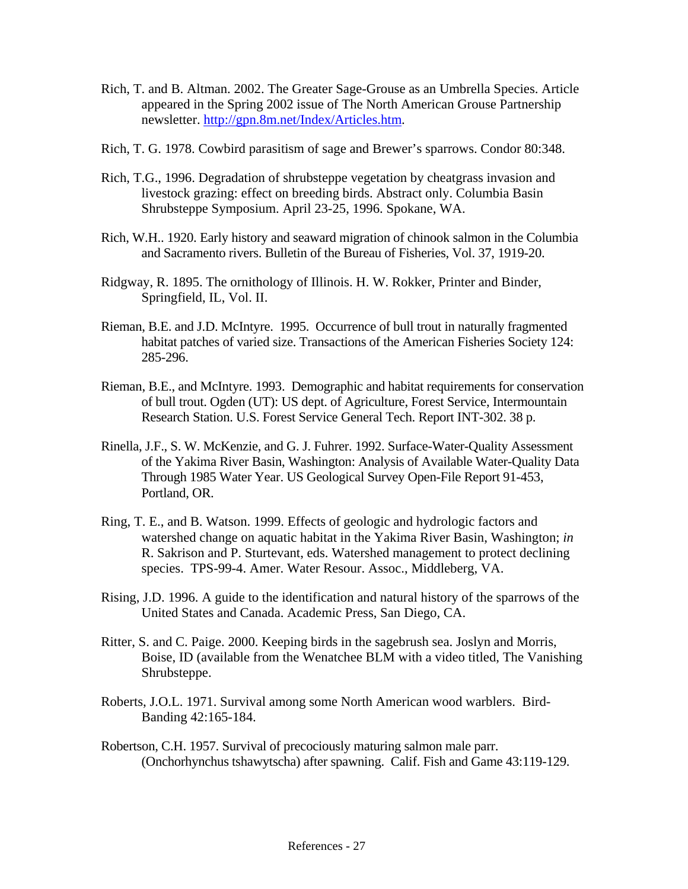- Rich, T. and B. Altman. 2002. The Greater Sage-Grouse as an Umbrella Species. Article appeared in the Spring 2002 issue of The North American Grouse Partnership newsletter. [http://gpn.8m.net/Index/Articles.htm.](http://gpn.8m.net/Index/Articles.htm)
- Rich, T. G. 1978. Cowbird parasitism of sage and Brewer's sparrows. Condor 80:348.
- Rich, T.G., 1996. Degradation of shrubsteppe vegetation by cheatgrass invasion and livestock grazing: effect on breeding birds. Abstract only. Columbia Basin Shrubsteppe Symposium. April 23-25, 1996. Spokane, WA.
- Rich, W.H.. 1920. Early history and seaward migration of chinook salmon in the Columbia and Sacramento rivers. Bulletin of the Bureau of Fisheries, Vol. 37, 1919-20.
- Ridgway, R. 1895. The ornithology of Illinois. H. W. Rokker, Printer and Binder, Springfield, IL, Vol. II.
- Rieman, B.E. and J.D. McIntyre. 1995. Occurrence of bull trout in naturally fragmented habitat patches of varied size. Transactions of the American Fisheries Society 124: 285-296.
- Rieman, B.E., and McIntyre. 1993. Demographic and habitat requirements for conservation of bull trout. Ogden (UT): US dept. of Agriculture, Forest Service, Intermountain Research Station. U.S. Forest Service General Tech. Report INT-302. 38 p.
- Rinella, J.F., S. W. McKenzie, and G. J. Fuhrer. 1992. Surface-Water-Quality Assessment of the Yakima River Basin, Washington: Analysis of Available Water-Quality Data Through 1985 Water Year. US Geological Survey Open-File Report 91-453, Portland, OR.
- Ring, T. E., and B. Watson. 1999. Effects of geologic and hydrologic factors and watershed change on aquatic habitat in the Yakima River Basin, Washington; *in* R. Sakrison and P. Sturtevant, eds. Watershed management to protect declining species. TPS-99-4. Amer. Water Resour. Assoc., Middleberg, VA.
- Rising, J.D. 1996. A guide to the identification and natural history of the sparrows of the United States and Canada. Academic Press, San Diego, CA.
- Ritter, S. and C. Paige. 2000. Keeping birds in the sagebrush sea. Joslyn and Morris, Boise, ID (available from the Wenatchee BLM with a video titled, The Vanishing Shrubsteppe.
- Roberts, J.O.L. 1971. Survival among some North American wood warblers. Bird-Banding 42:165-184.
- Robertson, C.H. 1957. Survival of precociously maturing salmon male parr. (Onchorhynchus tshawytscha) after spawning. Calif. Fish and Game 43:119-129.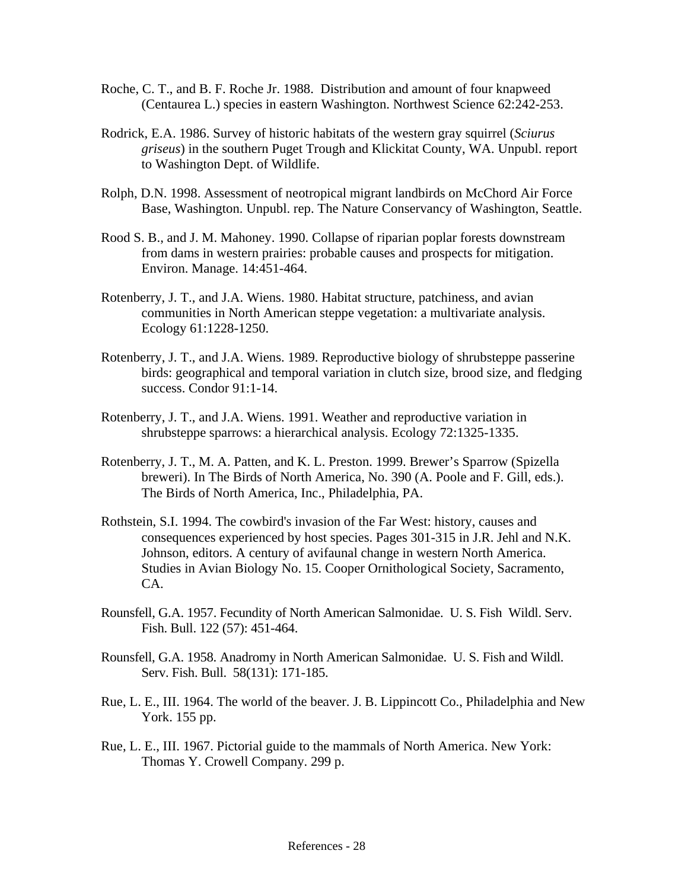- Roche, C. T., and B. F. Roche Jr. 1988. Distribution and amount of four knapweed (Centaurea L.) species in eastern Washington. Northwest Science 62:242-253.
- Rodrick, E.A. 1986. Survey of historic habitats of the western gray squirrel (*Sciurus griseus*) in the southern Puget Trough and Klickitat County, WA. Unpubl. report to Washington Dept. of Wildlife.
- Rolph, D.N. 1998. Assessment of neotropical migrant landbirds on McChord Air Force Base, Washington. Unpubl. rep. The Nature Conservancy of Washington, Seattle.
- Rood S. B., and J. M. Mahoney. 1990. Collapse of riparian poplar forests downstream from dams in western prairies: probable causes and prospects for mitigation. Environ. Manage. 14:451-464.
- Rotenberry, J. T., and J.A. Wiens. 1980. Habitat structure, patchiness, and avian communities in North American steppe vegetation: a multivariate analysis. Ecology 61:1228-1250.
- Rotenberry, J. T., and J.A. Wiens. 1989. Reproductive biology of shrubsteppe passerine birds: geographical and temporal variation in clutch size, brood size, and fledging success. Condor 91:1-14.
- Rotenberry, J. T., and J.A. Wiens. 1991. Weather and reproductive variation in shrubsteppe sparrows: a hierarchical analysis. Ecology 72:1325-1335.
- Rotenberry, J. T., M. A. Patten, and K. L. Preston. 1999. Brewer's Sparrow (Spizella breweri). In The Birds of North America, No. 390 (A. Poole and F. Gill, eds.). The Birds of North America, Inc., Philadelphia, PA.
- Rothstein, S.I. 1994. The cowbird's invasion of the Far West: history, causes and consequences experienced by host species. Pages 301-315 in J.R. Jehl and N.K. Johnson, editors. A century of avifaunal change in western North America. Studies in Avian Biology No. 15. Cooper Ornithological Society, Sacramento, CA.
- Rounsfell, G.A. 1957. Fecundity of North American Salmonidae. U. S. Fish Wildl. Serv. Fish. Bull. 122 (57): 451-464.
- Rounsfell, G.A. 1958. Anadromy in North American Salmonidae. U. S. Fish and Wildl. Serv. Fish. Bull. 58(131): 171-185.
- Rue, L. E., III. 1964. The world of the beaver. J. B. Lippincott Co., Philadelphia and New York. 155 pp.
- Rue, L. E., III. 1967. Pictorial guide to the mammals of North America. New York: Thomas Y. Crowell Company. 299 p.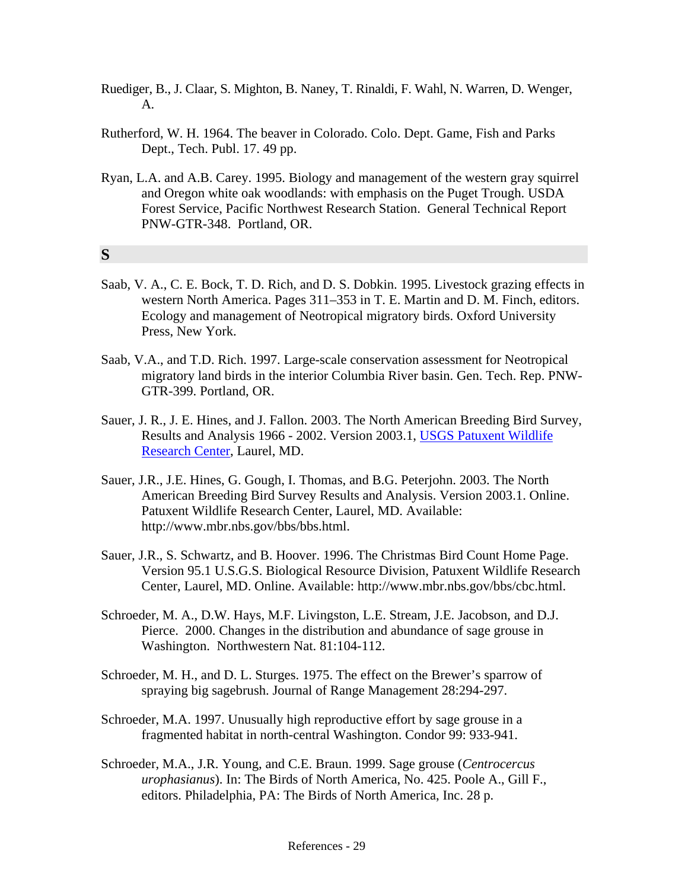- Ruediger, B., J. Claar, S. Mighton, B. Naney, T. Rinaldi, F. Wahl, N. Warren, D. Wenger, A.
- Rutherford, W. H. 1964. The beaver in Colorado. Colo. Dept. Game, Fish and Parks Dept., Tech. Publ. 17. 49 pp.
- Ryan, L.A. and A.B. Carey. 1995. Biology and management of the western gray squirrel and Oregon white oak woodlands: with emphasis on the Puget Trough. USDA Forest Service, Pacific Northwest Research Station. General Technical Report PNW-GTR-348. Portland, OR.

## **S**

- Saab, V. A., C. E. Bock, T. D. Rich, and D. S. Dobkin. 1995. Livestock grazing effects in western North America. Pages 311–353 in T. E. Martin and D. M. Finch, editors. Ecology and management of Neotropical migratory birds. Oxford University Press, New York.
- Saab, V.A., and T.D. Rich. 1997. Large-scale conservation assessment for Neotropical migratory land birds in the interior Columbia River basin. Gen. Tech. Rep. PNW-GTR-399. Portland, OR.
- Sauer, J. R., J. E. Hines, and J. Fallon. 2003. The North American Breeding Bird Survey, Results and Analysis 1966 - 2002. Version 2003.1, [USGS Patuxent Wildlife](http://www.pwrc.usgs.gov/)  [Research Center,](http://www.pwrc.usgs.gov/) Laurel, MD.
- Sauer, J.R., J.E. Hines, G. Gough, I. Thomas, and B.G. Peterjohn. 2003. The North American Breeding Bird Survey Results and Analysis. Version 2003.1. Online. Patuxent Wildlife Research Center, Laurel, MD. Available: http://www.mbr.nbs.gov/bbs/bbs.html.
- Sauer, J.R., S. Schwartz, and B. Hoover. 1996. The Christmas Bird Count Home Page. Version 95.1 U.S.G.S. Biological Resource Division, Patuxent Wildlife Research Center, Laurel, MD. Online. Available: http://www.mbr.nbs.gov/bbs/cbc.html.
- Schroeder, M. A., D.W. Hays, M.F. Livingston, L.E. Stream, J.E. Jacobson, and D.J. Pierce. 2000. Changes in the distribution and abundance of sage grouse in Washington. Northwestern Nat. 81:104-112.
- Schroeder, M. H., and D. L. Sturges. 1975. The effect on the Brewer's sparrow of spraying big sagebrush. Journal of Range Management 28:294-297.
- Schroeder, M.A. 1997. Unusually high reproductive effort by sage grouse in a fragmented habitat in north-central Washington. Condor 99: 933-941.
- Schroeder, M.A., J.R. Young, and C.E. Braun. 1999. Sage grouse (*Centrocercus urophasianus*). In: The Birds of North America, No. 425. Poole A., Gill F., editors. Philadelphia, PA: The Birds of North America, Inc. 28 p.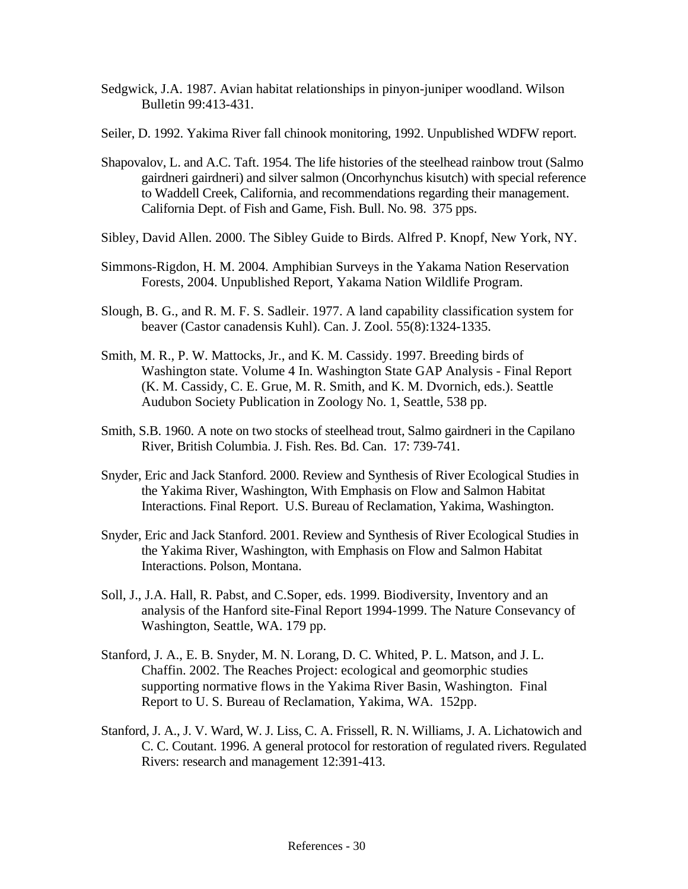- Sedgwick, J.A. 1987. Avian habitat relationships in pinyon-juniper woodland. Wilson Bulletin 99:413-431.
- Seiler, D. 1992. Yakima River fall chinook monitoring, 1992. Unpublished WDFW report.
- Shapovalov, L. and A.C. Taft. 1954. The life histories of the steelhead rainbow trout (Salmo gairdneri gairdneri) and silver salmon (Oncorhynchus kisutch) with special reference to Waddell Creek, California, and recommendations regarding their management. California Dept. of Fish and Game, Fish. Bull. No. 98. 375 pps.
- Sibley, David Allen. 2000. The Sibley Guide to Birds. Alfred P. Knopf, New York, NY.
- Simmons-Rigdon, H. M. 2004. Amphibian Surveys in the Yakama Nation Reservation Forests, 2004. Unpublished Report, Yakama Nation Wildlife Program.
- Slough, B. G., and R. M. F. S. Sadleir. 1977. A land capability classification system for beaver (Castor canadensis Kuhl). Can. J. Zool. 55(8):1324-1335.
- Smith, M. R., P. W. Mattocks, Jr., and K. M. Cassidy. 1997. Breeding birds of Washington state. Volume 4 In. Washington State GAP Analysis - Final Report (K. M. Cassidy, C. E. Grue, M. R. Smith, and K. M. Dvornich, eds.). Seattle Audubon Society Publication in Zoology No. 1, Seattle, 538 pp.
- Smith, S.B. 1960. A note on two stocks of steelhead trout, Salmo gairdneri in the Capilano River, British Columbia. J. Fish. Res. Bd. Can. 17: 739-741.
- Snyder, Eric and Jack Stanford. 2000. Review and Synthesis of River Ecological Studies in the Yakima River, Washington, With Emphasis on Flow and Salmon Habitat Interactions. Final Report. U.S. Bureau of Reclamation, Yakima, Washington.
- Snyder, Eric and Jack Stanford. 2001. Review and Synthesis of River Ecological Studies in the Yakima River, Washington, with Emphasis on Flow and Salmon Habitat Interactions. Polson, Montana.
- Soll, J., J.A. Hall, R. Pabst, and C.Soper, eds. 1999. Biodiversity, Inventory and an analysis of the Hanford site-Final Report 1994-1999. The Nature Consevancy of Washington, Seattle, WA. 179 pp.
- Stanford, J. A., E. B. Snyder, M. N. Lorang, D. C. Whited, P. L. Matson, and J. L. Chaffin. 2002. The Reaches Project: ecological and geomorphic studies supporting normative flows in the Yakima River Basin, Washington. Final Report to U. S. Bureau of Reclamation, Yakima, WA. 152pp.
- Stanford, J. A., J. V. Ward, W. J. Liss, C. A. Frissell, R. N. Williams, J. A. Lichatowich and C. C. Coutant. 1996. A general protocol for restoration of regulated rivers. Regulated Rivers: research and management 12:391-413.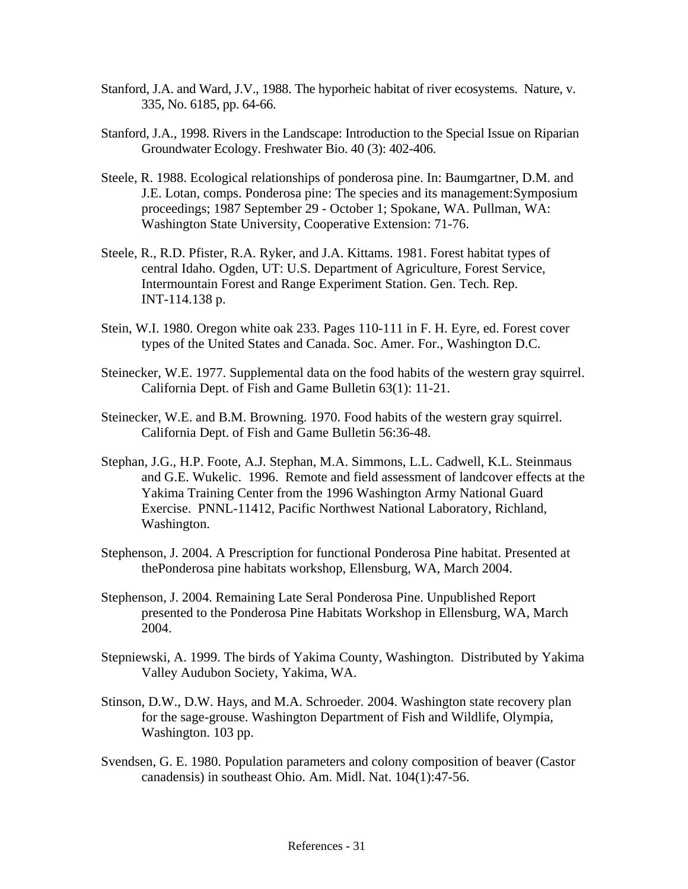- Stanford, J.A. and Ward, J.V., 1988. The hyporheic habitat of river ecosystems. Nature, v. 335, No. 6185, pp. 64-66.
- Stanford, J.A., 1998. Rivers in the Landscape: Introduction to the Special Issue on Riparian Groundwater Ecology. Freshwater Bio. 40 (3): 402-406.
- Steele, R. 1988. Ecological relationships of ponderosa pine. In: Baumgartner, D.M. and J.E. Lotan, comps. Ponderosa pine: The species and its management:Symposium proceedings; 1987 September 29 - October 1; Spokane, WA. Pullman, WA: Washington State University, Cooperative Extension: 71-76.
- Steele, R., R.D. Pfister, R.A. Ryker, and J.A. Kittams. 1981. Forest habitat types of central Idaho. Ogden, UT: U.S. Department of Agriculture, Forest Service, Intermountain Forest and Range Experiment Station. Gen. Tech. Rep. INT-114.138 p.
- Stein, W.I. 1980. Oregon white oak 233. Pages 110-111 in F. H. Eyre, ed. Forest cover types of the United States and Canada. Soc. Amer. For., Washington D.C.
- Steinecker, W.E. 1977. Supplemental data on the food habits of the western gray squirrel. California Dept. of Fish and Game Bulletin 63(1): 11-21.
- Steinecker, W.E. and B.M. Browning. 1970. Food habits of the western gray squirrel. California Dept. of Fish and Game Bulletin 56:36-48.
- Stephan, J.G., H.P. Foote, A.J. Stephan, M.A. Simmons, L.L. Cadwell, K.L. Steinmaus and G.E. Wukelic. 1996. Remote and field assessment of landcover effects at the Yakima Training Center from the 1996 Washington Army National Guard Exercise. PNNL-11412, Pacific Northwest National Laboratory, Richland, Washington.
- Stephenson, J. 2004. A Prescription for functional Ponderosa Pine habitat. Presented at thePonderosa pine habitats workshop, Ellensburg, WA, March 2004.
- Stephenson, J. 2004. Remaining Late Seral Ponderosa Pine. Unpublished Report presented to the Ponderosa Pine Habitats Workshop in Ellensburg, WA, March 2004.
- Stepniewski, A. 1999. The birds of Yakima County, Washington. Distributed by Yakima Valley Audubon Society, Yakima, WA.
- Stinson, D.W., D.W. Hays, and M.A. Schroeder. 2004. Washington state recovery plan for the sage-grouse. Washington Department of Fish and Wildlife, Olympia, Washington. 103 pp.
- Svendsen, G. E. 1980. Population parameters and colony composition of beaver (Castor canadensis) in southeast Ohio. Am. Midl. Nat. 104(1):47-56.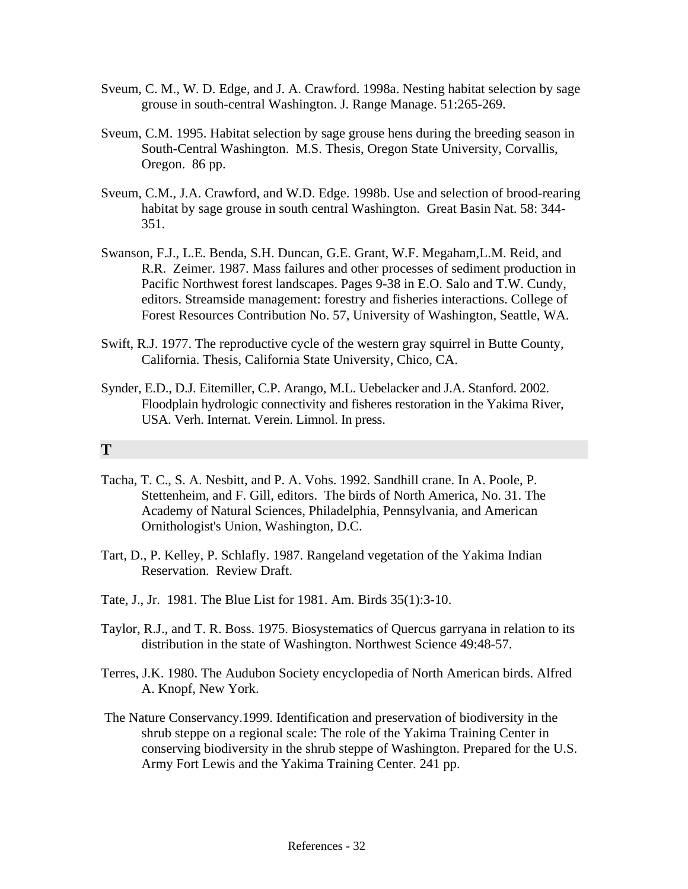- Sveum, C. M., W. D. Edge, and J. A. Crawford. 1998a. Nesting habitat selection by sage grouse in south-central Washington. J. Range Manage. 51:265-269.
- Sveum, C.M. 1995. Habitat selection by sage grouse hens during the breeding season in South-Central Washington. M.S. Thesis, Oregon State University, Corvallis, Oregon. 86 pp.
- Sveum, C.M., J.A. Crawford, and W.D. Edge. 1998b. Use and selection of brood-rearing habitat by sage grouse in south central Washington. Great Basin Nat. 58: 344- 351.
- Swanson, F.J., L.E. Benda, S.H. Duncan, G.E. Grant, W.F. Megaham,L.M. Reid, and R.R. Zeimer. 1987. Mass failures and other processes of sediment production in Pacific Northwest forest landscapes. Pages 9-38 in E.O. Salo and T.W. Cundy, editors. Streamside management: forestry and fisheries interactions. College of Forest Resources Contribution No. 57, University of Washington, Seattle, WA.
- Swift, R.J. 1977. The reproductive cycle of the western gray squirrel in Butte County, California. Thesis, California State University, Chico, CA.
- Synder, E.D., D.J. Eitemiller, C.P. Arango, M.L. Uebelacker and J.A. Stanford. 2002. Floodplain hydrologic connectivity and fisheres restoration in the Yakima River, USA. Verh. Internat. Verein. Limnol. In press.

## **T**

- Tacha, T. C., S. A. Nesbitt, and P. A. Vohs. 1992. Sandhill crane. In A. Poole, P. Stettenheim, and F. Gill, editors. The birds of North America, No. 31. The Academy of Natural Sciences, Philadelphia, Pennsylvania, and American Ornithologist's Union, Washington, D.C.
- Tart, D., P. Kelley, P. Schlafly. 1987. Rangeland vegetation of the Yakima Indian Reservation. Review Draft.
- Tate, J., Jr. 1981. The Blue List for 1981. Am. Birds 35(1):3-10.
- Taylor, R.J., and T. R. Boss. 1975. Biosystematics of Quercus garryana in relation to its distribution in the state of Washington. Northwest Science 49:48-57.
- Terres, J.K. 1980. The Audubon Society encyclopedia of North American birds. Alfred A. Knopf, New York.
- The Nature Conservancy.1999. Identification and preservation of biodiversity in the shrub steppe on a regional scale: The role of the Yakima Training Center in conserving biodiversity in the shrub steppe of Washington. Prepared for the U.S. Army Fort Lewis and the Yakima Training Center. 241 pp.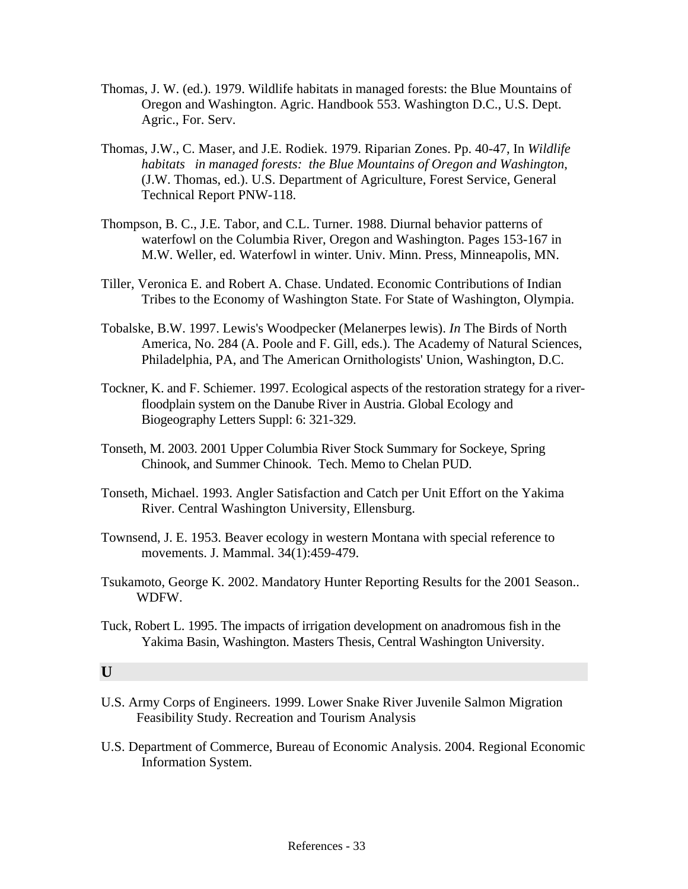- Thomas, J. W. (ed.). 1979. Wildlife habitats in managed forests: the Blue Mountains of Oregon and Washington. Agric. Handbook 553. Washington D.C., U.S. Dept. Agric., For. Serv.
- Thomas, J.W., C. Maser, and J.E. Rodiek. 1979. Riparian Zones. Pp. 40-47, In *Wildlife habitats in managed forests: the Blue Mountains of Oregon and Washington*, (J.W. Thomas, ed.). U.S. Department of Agriculture, Forest Service, General Technical Report PNW-118.
- Thompson, B. C., J.E. Tabor, and C.L. Turner. 1988. Diurnal behavior patterns of waterfowl on the Columbia River, Oregon and Washington. Pages 153-167 in M.W. Weller, ed. Waterfowl in winter. Univ. Minn. Press, Minneapolis, MN.
- Tiller, Veronica E. and Robert A. Chase. Undated. Economic Contributions of Indian Tribes to the Economy of Washington State. For State of Washington, Olympia.
- Tobalske, B.W. 1997. Lewis's Woodpecker (Melanerpes lewis). *In* The Birds of North America, No. 284 (A. Poole and F. Gill, eds.). The Academy of Natural Sciences, Philadelphia, PA, and The American Ornithologists' Union, Washington, D.C.
- Tockner, K. and F. Schiemer. 1997. Ecological aspects of the restoration strategy for a riverfloodplain system on the Danube River in Austria. Global Ecology and Biogeography Letters Suppl: 6: 321-329.
- Tonseth, M. 2003. 2001 Upper Columbia River Stock Summary for Sockeye, Spring Chinook, and Summer Chinook. Tech. Memo to Chelan PUD.
- Tonseth, Michael. 1993. Angler Satisfaction and Catch per Unit Effort on the Yakima River. Central Washington University, Ellensburg.
- Townsend, J. E. 1953. Beaver ecology in western Montana with special reference to movements. J. Mammal. 34(1):459-479.
- Tsukamoto, George K. 2002. Mandatory Hunter Reporting Results for the 2001 Season.. WDFW.
- Tuck, Robert L. 1995. The impacts of irrigation development on anadromous fish in the Yakima Basin, Washington. Masters Thesis, Central Washington University.

#### **U**

- U.S. Army Corps of Engineers. 1999. Lower Snake River Juvenile Salmon Migration Feasibility Study. Recreation and Tourism Analysis
- U.S. Department of Commerce, Bureau of Economic Analysis. 2004. Regional Economic Information System.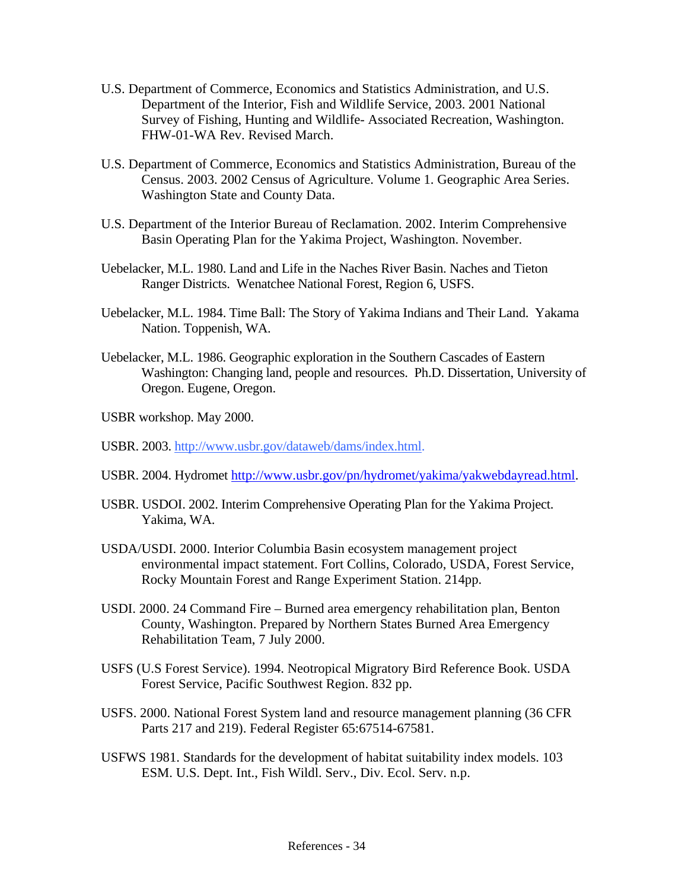- U.S. Department of Commerce, Economics and Statistics Administration, and U.S. Department of the Interior, Fish and Wildlife Service, 2003. 2001 National Survey of Fishing, Hunting and Wildlife- Associated Recreation, Washington. FHW-01-WA Rev. Revised March.
- U.S. Department of Commerce, Economics and Statistics Administration, Bureau of the Census. 2003. 2002 Census of Agriculture. Volume 1. Geographic Area Series. Washington State and County Data.
- U.S. Department of the Interior Bureau of Reclamation. 2002. Interim Comprehensive Basin Operating Plan for the Yakima Project, Washington. November.
- Uebelacker, M.L. 1980. Land and Life in the Naches River Basin. Naches and Tieton Ranger Districts. Wenatchee National Forest, Region 6, USFS.
- Uebelacker, M.L. 1984. Time Ball: The Story of Yakima Indians and Their Land. Yakama Nation. Toppenish, WA.
- Uebelacker, M.L. 1986. Geographic exploration in the Southern Cascades of Eastern Washington: Changing land, people and resources. Ph.D. Dissertation, University of Oregon. Eugene, Oregon.
- USBR workshop. May 2000.
- USBR. 2003.<http://www.usbr.gov/dataweb/dams/index.html>.
- USBR. 2004. Hydromet <http://www.usbr.gov/pn/hydromet/yakima/yakwebdayread.html>.
- USBR. USDOI. 2002. Interim Comprehensive Operating Plan for the Yakima Project. Yakima, WA.
- USDA/USDI. 2000. Interior Columbia Basin ecosystem management project environmental impact statement. Fort Collins, Colorado, USDA, Forest Service, Rocky Mountain Forest and Range Experiment Station. 214pp.
- USDI. 2000. 24 Command Fire Burned area emergency rehabilitation plan, Benton County, Washington. Prepared by Northern States Burned Area Emergency Rehabilitation Team, 7 July 2000.
- USFS (U.S Forest Service). 1994. Neotropical Migratory Bird Reference Book. USDA Forest Service, Pacific Southwest Region. 832 pp.
- USFS. 2000. National Forest System land and resource management planning (36 CFR Parts 217 and 219). Federal Register 65:67514-67581.
- USFWS 1981. Standards for the development of habitat suitability index models. 103 ESM. U.S. Dept. Int., Fish Wildl. Serv., Div. Ecol. Serv. n.p.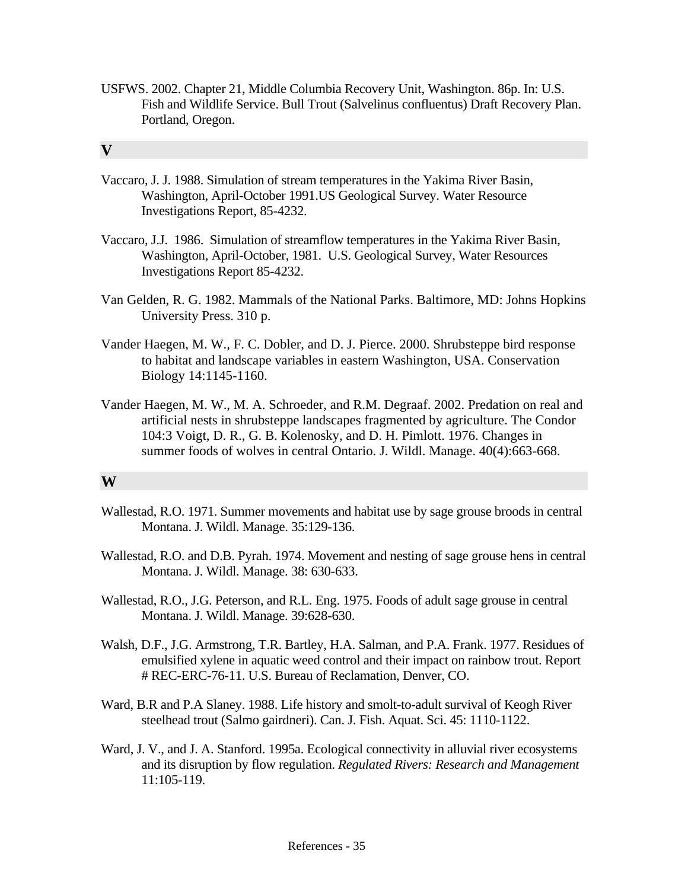USFWS. 2002. Chapter 21, Middle Columbia Recovery Unit, Washington. 86p. In: U.S. Fish and Wildlife Service. Bull Trout (Salvelinus confluentus) Draft Recovery Plan. Portland, Oregon.

#### **V**

- Vaccaro, J. J. 1988. Simulation of stream temperatures in the Yakima River Basin, Washington, April-October 1991.US Geological Survey. Water Resource Investigations Report, 85-4232.
- Vaccaro, J.J. 1986. Simulation of streamflow temperatures in the Yakima River Basin, Washington, April-October, 1981. U.S. Geological Survey, Water Resources Investigations Report 85-4232.
- Van Gelden, R. G. 1982. Mammals of the National Parks. Baltimore, MD: Johns Hopkins University Press. 310 p.
- Vander Haegen, M. W., F. C. Dobler, and D. J. Pierce. 2000. Shrubsteppe bird response to habitat and landscape variables in eastern Washington, USA. Conservation Biology 14:1145-1160.
- Vander Haegen, M. W., M. A. Schroeder, and R.M. Degraaf. 2002. Predation on real and artificial nests in shrubsteppe landscapes fragmented by agriculture. The Condor 104:3 Voigt, D. R., G. B. Kolenosky, and D. H. Pimlott. 1976. Changes in summer foods of wolves in central Ontario. J. Wildl. Manage. 40(4):663-668.

#### **W**

- Wallestad, R.O. 1971. Summer movements and habitat use by sage grouse broods in central Montana. J. Wildl. Manage. 35:129-136.
- Wallestad, R.O. and D.B. Pyrah. 1974. Movement and nesting of sage grouse hens in central Montana. J. Wildl. Manage. 38: 630-633.
- Wallestad, R.O., J.G. Peterson, and R.L. Eng. 1975. Foods of adult sage grouse in central Montana. J. Wildl. Manage. 39:628-630.
- Walsh, D.F., J.G. Armstrong, T.R. Bartley, H.A. Salman, and P.A. Frank. 1977. Residues of emulsified xylene in aquatic weed control and their impact on rainbow trout. Report # REC-ERC-76-11. U.S. Bureau of Reclamation, Denver, CO.
- Ward, B.R and P.A Slaney. 1988. Life history and smolt-to-adult survival of Keogh River steelhead trout (Salmo gairdneri). Can. J. Fish. Aquat. Sci. 45: 1110-1122.
- Ward, J. V., and J. A. Stanford. 1995a. Ecological connectivity in alluvial river ecosystems and its disruption by flow regulation. *Regulated Rivers: Research and Management*  11:105-119.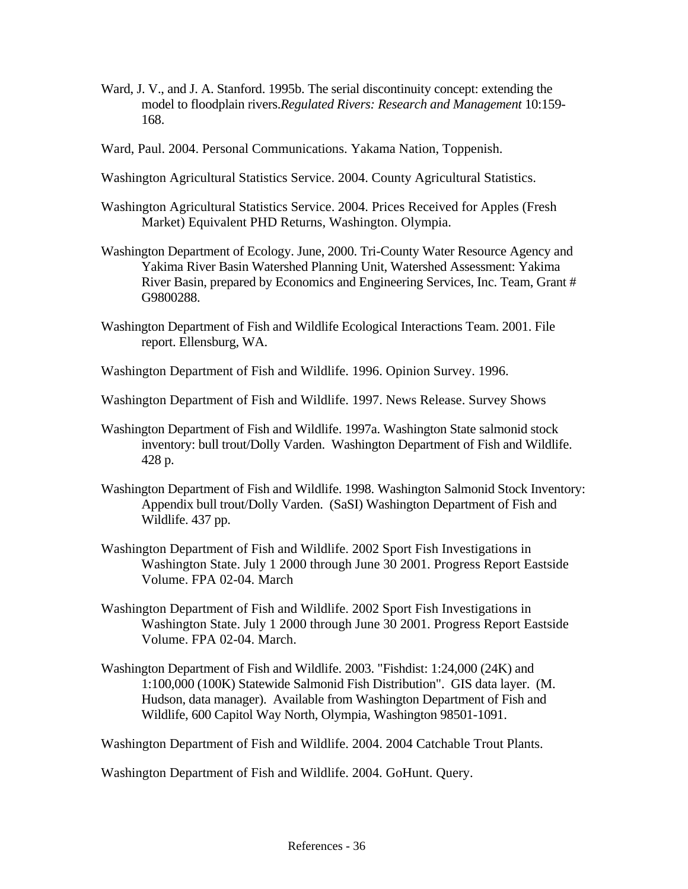- Ward, J. V., and J. A. Stanford. 1995b. The serial discontinuity concept: extending the model to floodplain rivers.*Regulated Rivers: Research and Management* 10:159- 168.
- Ward, Paul. 2004. Personal Communications. Yakama Nation, Toppenish.
- Washington Agricultural Statistics Service. 2004. County Agricultural Statistics.
- Washington Agricultural Statistics Service. 2004. Prices Received for Apples (Fresh Market) Equivalent PHD Returns, Washington. Olympia.
- Washington Department of Ecology. June, 2000. Tri-County Water Resource Agency and Yakima River Basin Watershed Planning Unit, Watershed Assessment: Yakima River Basin, prepared by Economics and Engineering Services, Inc. Team, Grant # G9800288.
- Washington Department of Fish and Wildlife Ecological Interactions Team. 2001. File report. Ellensburg, WA.
- Washington Department of Fish and Wildlife. 1996. Opinion Survey. 1996.
- Washington Department of Fish and Wildlife. 1997. News Release. Survey Shows
- Washington Department of Fish and Wildlife. 1997a. Washington State salmonid stock inventory: bull trout/Dolly Varden. Washington Department of Fish and Wildlife. 428 p.
- Washington Department of Fish and Wildlife. 1998. Washington Salmonid Stock Inventory: Appendix bull trout/Dolly Varden. (SaSI) Washington Department of Fish and Wildlife. 437 pp.
- Washington Department of Fish and Wildlife. 2002 Sport Fish Investigations in Washington State. July 1 2000 through June 30 2001. Progress Report Eastside Volume. FPA 02-04. March
- Washington Department of Fish and Wildlife. 2002 Sport Fish Investigations in Washington State. July 1 2000 through June 30 2001. Progress Report Eastside Volume. FPA 02-04. March.
- Washington Department of Fish and Wildlife. 2003. "Fishdist: 1:24,000 (24K) and 1:100,000 (100K) Statewide Salmonid Fish Distribution". GIS data layer. (M. Hudson, data manager). Available from Washington Department of Fish and Wildlife, 600 Capitol Way North, Olympia, Washington 98501-1091.
- Washington Department of Fish and Wildlife. 2004. 2004 Catchable Trout Plants.

Washington Department of Fish and Wildlife. 2004. GoHunt. Query.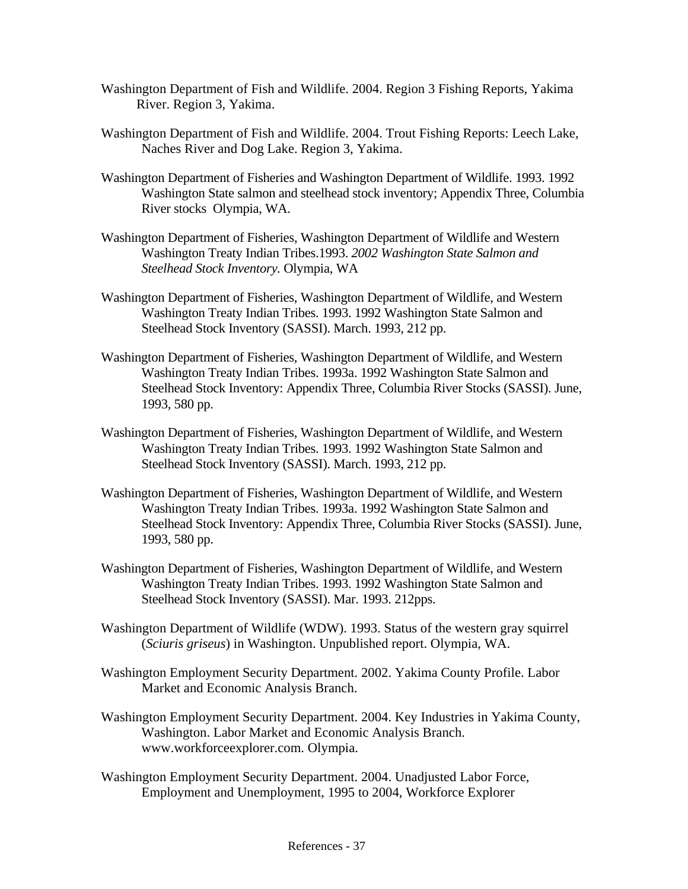- Washington Department of Fish and Wildlife. 2004. Region 3 Fishing Reports, Yakima River. Region 3, Yakima.
- Washington Department of Fish and Wildlife. 2004. Trout Fishing Reports: Leech Lake, Naches River and Dog Lake. Region 3, Yakima.
- Washington Department of Fisheries and Washington Department of Wildlife. 1993. 1992 Washington State salmon and steelhead stock inventory; Appendix Three, Columbia River stocks Olympia, WA.
- Washington Department of Fisheries, Washington Department of Wildlife and Western Washington Treaty Indian Tribes.1993. *2002 Washington State Salmon and Steelhead Stock Inventory.* Olympia, WA
- Washington Department of Fisheries, Washington Department of Wildlife, and Western Washington Treaty Indian Tribes. 1993. 1992 Washington State Salmon and Steelhead Stock Inventory (SASSI). March. 1993, 212 pp.
- Washington Department of Fisheries, Washington Department of Wildlife, and Western Washington Treaty Indian Tribes. 1993a. 1992 Washington State Salmon and Steelhead Stock Inventory: Appendix Three, Columbia River Stocks (SASSI). June, 1993, 580 pp.
- Washington Department of Fisheries, Washington Department of Wildlife, and Western Washington Treaty Indian Tribes. 1993. 1992 Washington State Salmon and Steelhead Stock Inventory (SASSI). March. 1993, 212 pp.
- Washington Department of Fisheries, Washington Department of Wildlife, and Western Washington Treaty Indian Tribes. 1993a. 1992 Washington State Salmon and Steelhead Stock Inventory: Appendix Three, Columbia River Stocks (SASSI). June, 1993, 580 pp.
- Washington Department of Fisheries, Washington Department of Wildlife, and Western Washington Treaty Indian Tribes. 1993. 1992 Washington State Salmon and Steelhead Stock Inventory (SASSI). Mar. 1993. 212pps.
- Washington Department of Wildlife (WDW). 1993. Status of the western gray squirrel (*Sciuris griseus*) in Washington. Unpublished report. Olympia, WA.
- Washington Employment Security Department. 2002. Yakima County Profile. Labor Market and Economic Analysis Branch.
- Washington Employment Security Department. 2004. Key Industries in Yakima County, Washington. Labor Market and Economic Analysis Branch. www.workforceexplorer.com. Olympia.
- Washington Employment Security Department. 2004. Unadjusted Labor Force, Employment and Unemployment, 1995 to 2004, Workforce Explorer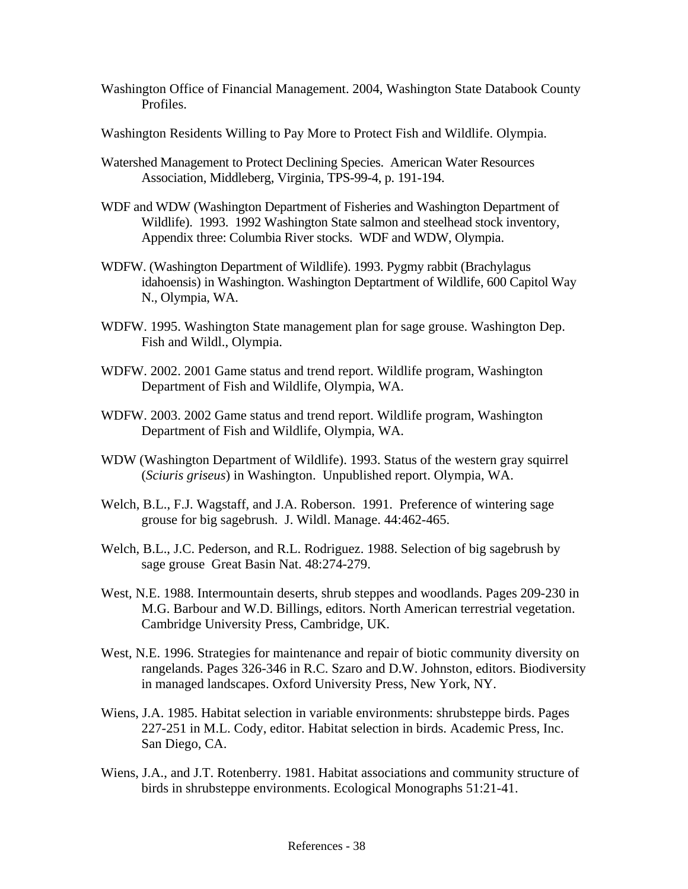- Washington Office of Financial Management. 2004, Washington State Databook County Profiles.
- Washington Residents Willing to Pay More to Protect Fish and Wildlife. Olympia.
- Watershed Management to Protect Declining Species. American Water Resources Association, Middleberg, Virginia, TPS-99-4, p. 191-194.
- WDF and WDW (Washington Department of Fisheries and Washington Department of Wildlife). 1993. 1992 Washington State salmon and steelhead stock inventory, Appendix three: Columbia River stocks. WDF and WDW, Olympia.
- WDFW. (Washington Department of Wildlife). 1993. Pygmy rabbit (Brachylagus idahoensis) in Washington. Washington Deptartment of Wildlife, 600 Capitol Way N., Olympia, WA.
- WDFW. 1995. Washington State management plan for sage grouse. Washington Dep. Fish and Wildl., Olympia.
- WDFW. 2002. 2001 Game status and trend report. Wildlife program, Washington Department of Fish and Wildlife, Olympia, WA.
- WDFW. 2003. 2002 Game status and trend report. Wildlife program, Washington Department of Fish and Wildlife, Olympia, WA.
- WDW (Washington Department of Wildlife). 1993. Status of the western gray squirrel (*Sciuris griseus*) in Washington. Unpublished report. Olympia, WA.
- Welch, B.L., F.J. Wagstaff, and J.A. Roberson. 1991. Preference of wintering sage grouse for big sagebrush. J. Wildl. Manage. 44:462-465.
- Welch, B.L., J.C. Pederson, and R.L. Rodriguez. 1988. Selection of big sagebrush by sage grouse Great Basin Nat. 48:274-279.
- West, N.E. 1988. Intermountain deserts, shrub steppes and woodlands. Pages 209-230 in M.G. Barbour and W.D. Billings, editors. North American terrestrial vegetation. Cambridge University Press, Cambridge, UK.
- West, N.E. 1996. Strategies for maintenance and repair of biotic community diversity on rangelands. Pages 326-346 in R.C. Szaro and D.W. Johnston, editors. Biodiversity in managed landscapes. Oxford University Press, New York, NY.
- Wiens, J.A. 1985. Habitat selection in variable environments: shrubsteppe birds. Pages 227-251 in M.L. Cody, editor. Habitat selection in birds. Academic Press, Inc. San Diego, CA.
- Wiens, J.A., and J.T. Rotenberry. 1981. Habitat associations and community structure of birds in shrubsteppe environments. Ecological Monographs 51:21-41.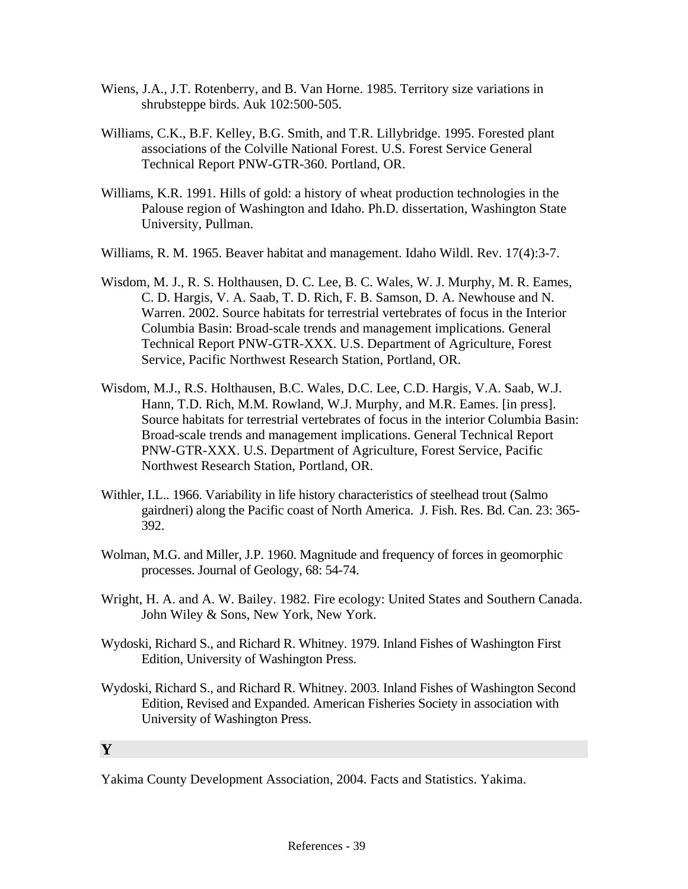- Wiens, J.A., J.T. Rotenberry, and B. Van Horne. 1985. Territory size variations in shrubsteppe birds. Auk 102:500-505.
- Williams, C.K., B.F. Kelley, B.G. Smith, and T.R. Lillybridge. 1995. Forested plant associations of the Colville National Forest. U.S. Forest Service General Technical Report PNW-GTR-360. Portland, OR.
- Williams, K.R. 1991. Hills of gold: a history of wheat production technologies in the Palouse region of Washington and Idaho. Ph.D. dissertation, Washington State University, Pullman.
- Williams, R. M. 1965. Beaver habitat and management. Idaho Wildl. Rev. 17(4):3-7.
- Wisdom, M. J., R. S. Holthausen, D. C. Lee, B. C. Wales, W. J. Murphy, M. R. Eames, C. D. Hargis, V. A. Saab, T. D. Rich, F. B. Samson, D. A. Newhouse and N. Warren. 2002. Source habitats for terrestrial vertebrates of focus in the Interior Columbia Basin: Broad-scale trends and management implications. General Technical Report PNW-GTR-XXX. U.S. Department of Agriculture, Forest Service, Pacific Northwest Research Station, Portland, OR.
- Wisdom, M.J., R.S. Holthausen, B.C. Wales, D.C. Lee, C.D. Hargis, V.A. Saab, W.J. Hann, T.D. Rich, M.M. Rowland, W.J. Murphy, and M.R. Eames. [in press]. Source habitats for terrestrial vertebrates of focus in the interior Columbia Basin: Broad-scale trends and management implications. General Technical Report PNW-GTR-XXX. U.S. Department of Agriculture, Forest Service, Pacific Northwest Research Station, Portland, OR.
- Withler, I.L.. 1966. Variability in life history characteristics of steelhead trout (Salmo gairdneri) along the Pacific coast of North America. J. Fish. Res. Bd. Can. 23: 365- 392.
- Wolman, M.G. and Miller, J.P. 1960. Magnitude and frequency of forces in geomorphic processes. Journal of Geology, 68: 54-74.
- Wright, H. A. and A. W. Bailey. 1982. Fire ecology: United States and Southern Canada. John Wiley & Sons, New York, New York.
- Wydoski, Richard S., and Richard R. Whitney. 1979. Inland Fishes of Washington First Edition, University of Washington Press.
- Wydoski, Richard S., and Richard R. Whitney. 2003. Inland Fishes of Washington Second Edition, Revised and Expanded. American Fisheries Society in association with University of Washington Press.

#### **Y**

Yakima County Development Association, 2004. Facts and Statistics. Yakima.